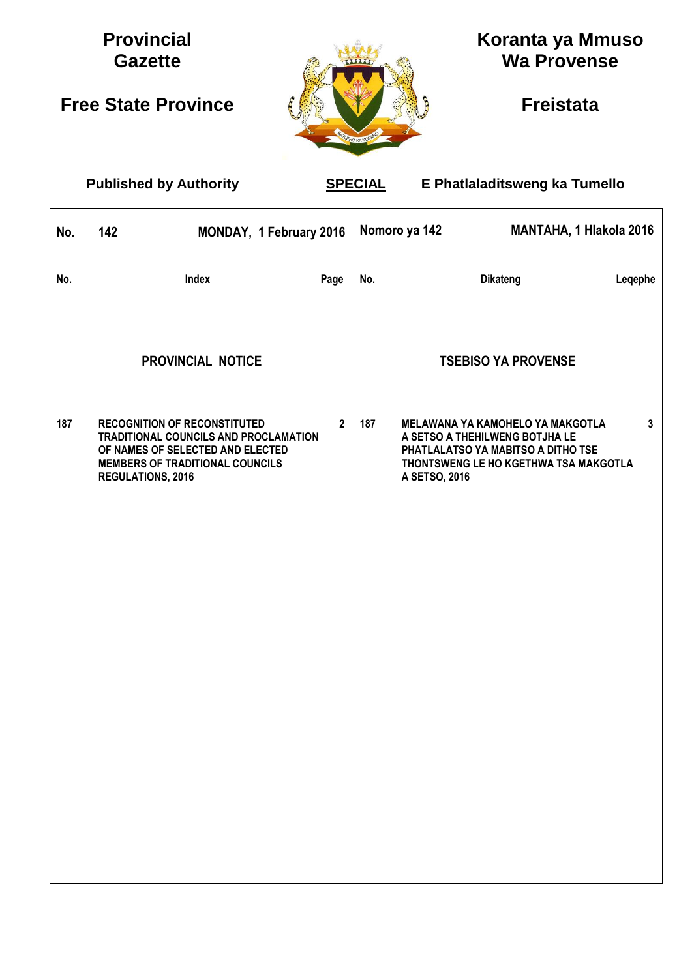# **Provincial Gazette**

# **Free State Province**



# **Koranta ya Mmuso Wa Provense**

**Freistata**

 $\mathsf{r}$ 

 **Published by Authority SPECIAL E Phatlaladitsweng ka Tumello**

| No. | 142                                                                                                                                           | MONDAY, 1 February 2016               |              |     | Nomoro ya 142                                                                                                                                                      | <b>MANTAHA, 1 Hlakola 2016</b> |              |
|-----|-----------------------------------------------------------------------------------------------------------------------------------------------|---------------------------------------|--------------|-----|--------------------------------------------------------------------------------------------------------------------------------------------------------------------|--------------------------------|--------------|
| No. |                                                                                                                                               | Index                                 | Page         | No. | <b>Dikateng</b>                                                                                                                                                    |                                | Legephe      |
|     |                                                                                                                                               | PROVINCIAL NOTICE                     |              |     |                                                                                                                                                                    | <b>TSEBISO YA PROVENSE</b>     |              |
| 187 | <b>RECOGNITION OF RECONSTITUTED</b><br>OF NAMES OF SELECTED AND ELECTED<br><b>MEMBERS OF TRADITIONAL COUNCILS</b><br><b>REGULATIONS, 2016</b> | TRADITIONAL COUNCILS AND PROCLAMATION | $\mathbf{2}$ | 187 | MELAWANA YA KAMOHELO YA MAKGOTLA<br>A SETSO A THEHILWENG BOTJHA LE<br>PHATLALATSO YA MABITSO A DITHO TSE<br>THONTSWENG LE HO KGETHWA TSA MAKGOTLA<br>A SETSO, 2016 |                                | $\mathbf{3}$ |
|     |                                                                                                                                               |                                       |              |     |                                                                                                                                                                    |                                |              |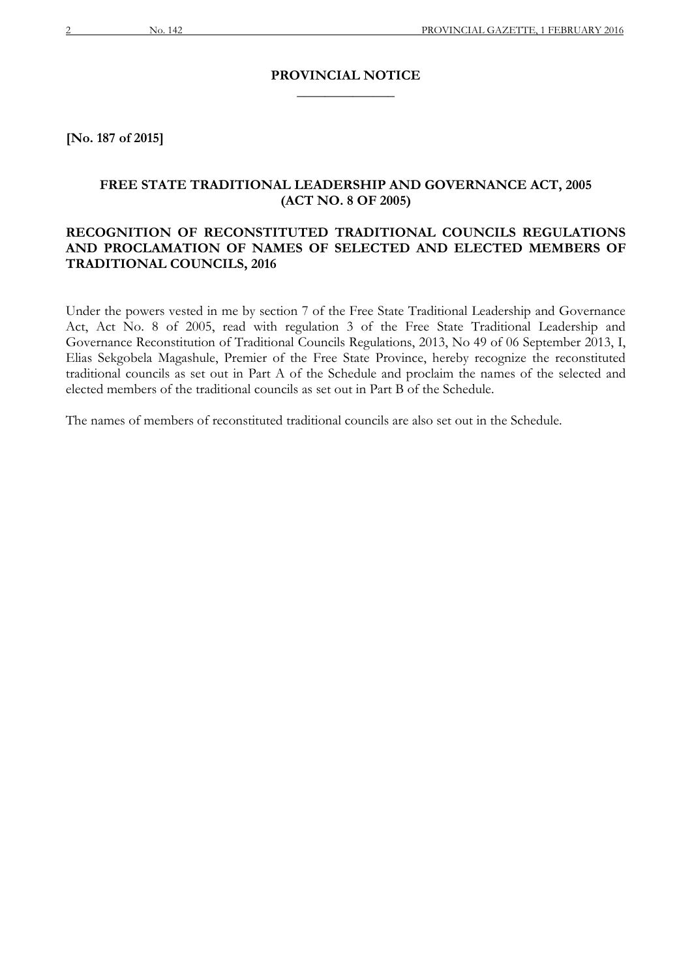#### **PROVINCIAL NOTICE \_\_\_\_\_\_\_\_\_\_\_\_\_\_**

**[No. 187 of 2015]**

### **FREE STATE TRADITIONAL LEADERSHIP AND GOVERNANCE ACT, 2005 (ACT NO. 8 OF 2005)**

### **RECOGNITION OF RECONSTITUTED TRADITIONAL COUNCILS REGULATIONS AND PROCLAMATION OF NAMES OF SELECTED AND ELECTED MEMBERS OF TRADITIONAL COUNCILS, 2016**

Under the powers vested in me by section 7 of the Free State Traditional Leadership and Governance Act, Act No. 8 of 2005, read with regulation 3 of the Free State Traditional Leadership and Governance Reconstitution of Traditional Councils Regulations, 2013, No 49 of 06 September 2013, I, Elias Sekgobela Magashule, Premier of the Free State Province, hereby recognize the reconstituted traditional councils as set out in Part A of the Schedule and proclaim the names of the selected and elected members of the traditional councils as set out in Part B of the Schedule.

The names of members of reconstituted traditional councils are also set out in the Schedule.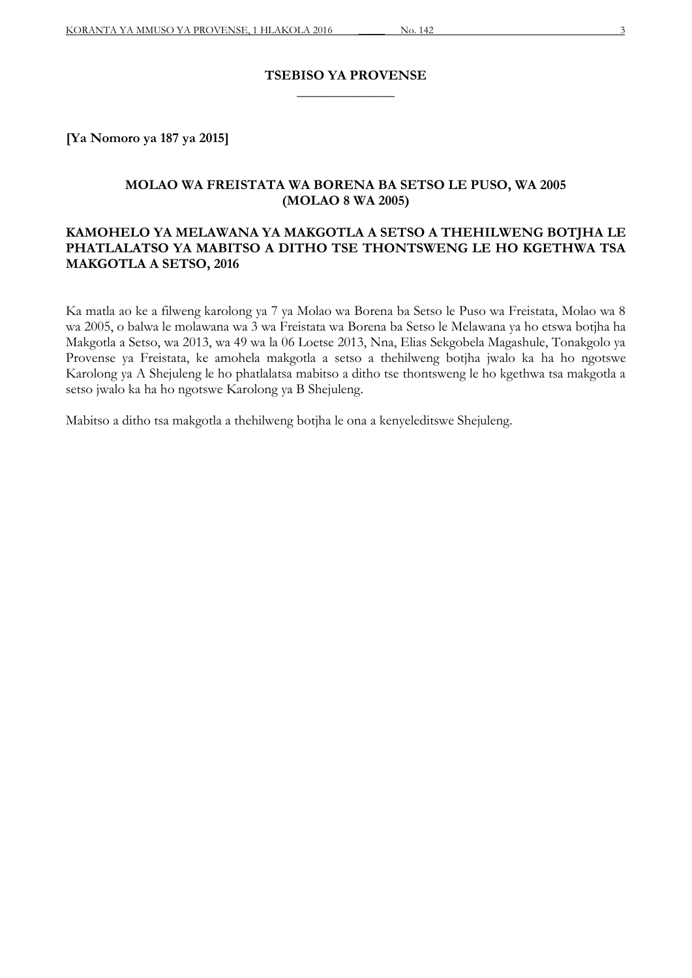#### **TSEBISO YA PROVENSE \_\_\_\_\_\_\_\_\_\_\_\_\_\_**

**[Ya Nomoro ya 187 ya 2015]**

#### **MOLAO WA FREISTATA WA BORENA BA SETSO LE PUSO, WA 2005 (MOLAO 8 WA 2005)**

### **KAMOHELO YA MELAWANA YA MAKGOTLA A SETSO A THEHILWENG BOTJHA LE PHATLALATSO YA MABITSO A DITHO TSE THONTSWENG LE HO KGETHWA TSA MAKGOTLA A SETSO, 2016**

Ka matla ao ke a filweng karolong ya 7 ya Molao wa Borena ba Setso le Puso wa Freistata, Molao wa 8 wa 2005, o balwa le molawana wa 3 wa Freistata wa Borena ba Setso le Melawana ya ho etswa botjha ha Makgotla a Setso, wa 2013, wa 49 wa la 06 Loetse 2013, Nna, Elias Sekgobela Magashule, Tonakgolo ya Provense ya Freistata, ke amohela makgotla a setso a thehilweng botjha jwalo ka ha ho ngotswe Karolong ya A Shejuleng le ho phatlalatsa mabitso a ditho tse thontsweng le ho kgethwa tsa makgotla a setso jwalo ka ha ho ngotswe Karolong ya B Shejuleng.

Mabitso a ditho tsa makgotla a thehilweng botjha le ona a kenyeleditswe Shejuleng.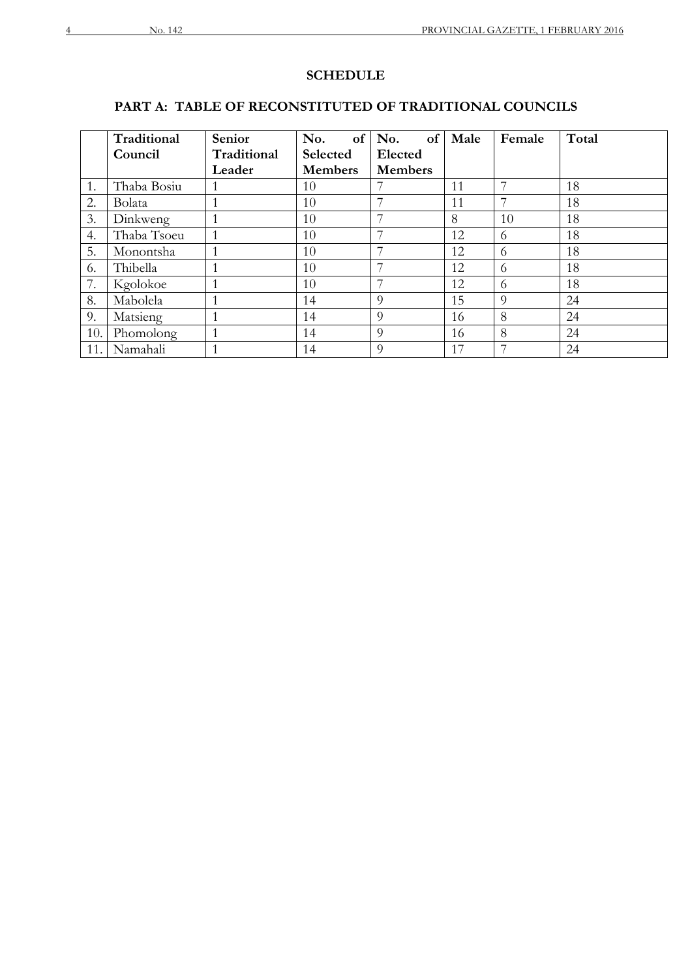## **SCHEDULE**

## **PART A: TABLE OF RECONSTITUTED OF TRADITIONAL COUNCILS**

|     | Traditional | Senior      | No.<br>of <sub>1</sub> | No.<br>of      | Male | Female | Total |
|-----|-------------|-------------|------------------------|----------------|------|--------|-------|
|     | Council     | Traditional | Selected               | Elected        |      |        |       |
|     |             | Leader      | <b>Members</b>         | <b>Members</b> |      |        |       |
| 1.  | Thaba Bosiu |             | 10                     |                | 11   | 7      | 18    |
| 2.  | Bolata      |             | 10                     |                | 11   |        | 18    |
| 3.  | Dinkweng    |             | 10                     | 7              | 8    | 10     | 18    |
| 4.  | Thaba Tsoeu | 1           | 10                     | 7              | 12   | 6      | 18    |
| 5.  | Monontsha   |             | 10                     | 7              | 12   | 6      | 18    |
| 6.  | Thibella    |             | 10                     | 7              | 12   | 6      | 18    |
| 7.  | Kgolokoe    |             | 10                     | 7              | 12   | 6      | 18    |
| 8.  | Mabolela    |             | 14                     | 9              | 15   | 9      | 24    |
| 9.  | Matsieng    |             | 14                     | 9              | 16   | 8      | 24    |
| 10. | Phomolong   |             | 14                     | 9              | 16   | 8      | 24    |
| 11. | Namahali    |             | 14                     | 9              | 17   |        | 24    |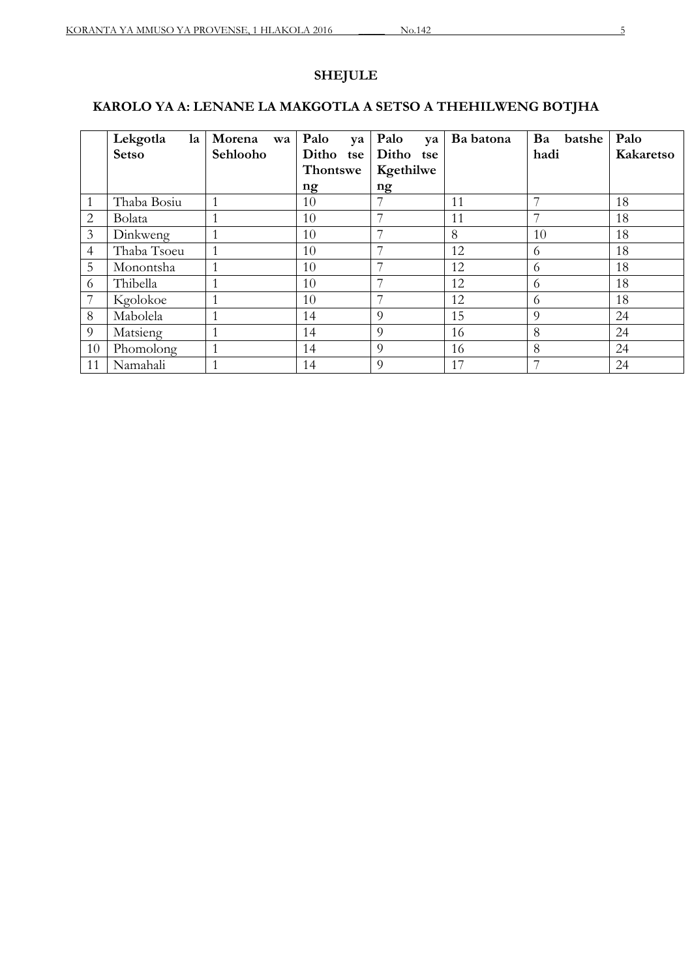# **SHEJULE**

# **KAROLO YA A: LENANE LA MAKGOTLA A SETSO A THEHILWENG BOTJHA**

|    | Lekgotla<br>la | Morena<br>wa | Palo<br>ya   | Palo<br>va | Ba batona | Ba<br>batshe             | Palo      |
|----|----------------|--------------|--------------|------------|-----------|--------------------------|-----------|
|    | <b>Setso</b>   | Sehlooho     | Ditho<br>tse | Ditho tse  |           | hadi                     | Kakaretso |
|    |                |              | Thontswe     | Kgethilwe  |           |                          |           |
|    |                |              | ng           | ng         |           |                          |           |
| 1  | Thaba Bosiu    | $\mathbf{1}$ | 10           |            | 11        | $\overline{\phantom{a}}$ | 18        |
| 2  | Bolata         | 1            | 10           | 7          | 11        | $\overline{\phantom{a}}$ | 18        |
| 3  | Dinkweng       | 1            | 10           |            | 8         | 10                       | 18        |
| 4  | Thaba Tsoeu    | 1            | 10           | 7          | 12        | 6                        | 18        |
| 5  | Monontsha      |              | 10           |            | 12        | 6                        | 18        |
| 6  | Thibella       |              | 10           |            | 12        | 6                        | 18        |
| 7  | Kgolokoe       |              | 10           |            | 12        | 6                        | 18        |
| 8  | Mabolela       |              | 14           | 9          | 15        | 9                        | 24        |
| 9  | Matsieng       |              | 14           | 9          | 16        | 8                        | 24        |
| 10 | Phomolong      |              | 14           | 9          | 16        | 8                        | 24        |
| 11 | Namahali       |              | 14           | $\Omega$   | 17        | $\overline{\phantom{a}}$ | 24        |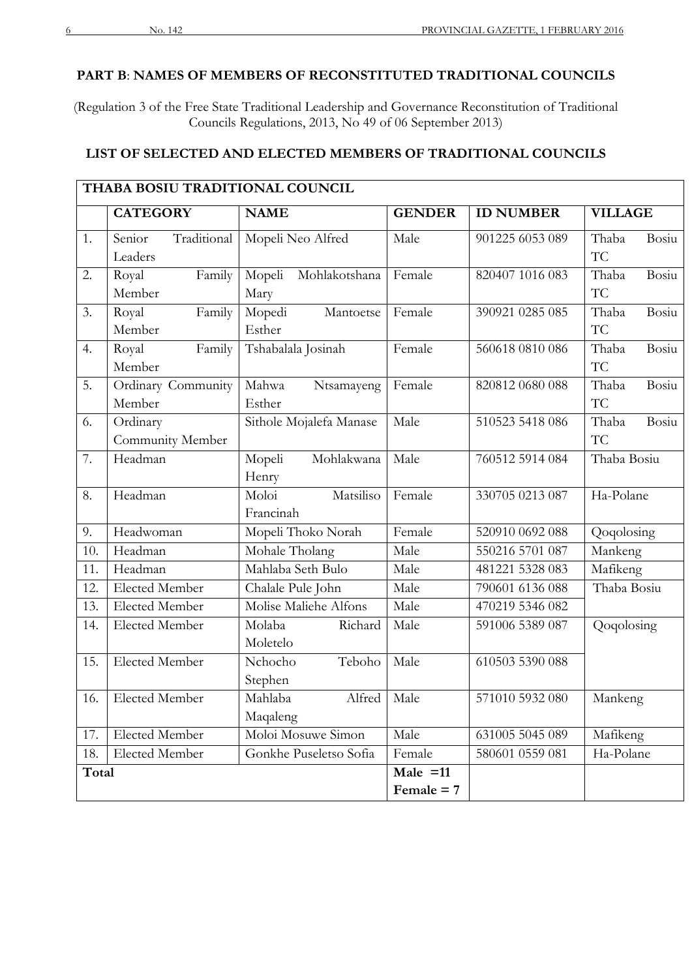### **PART B**: **NAMES OF MEMBERS OF RECONSTITUTED TRADITIONAL COUNCILS**

(Regulation 3 of the Free State Traditional Leadership and Governance Reconstitution of Traditional Councils Regulations, 2013, No 49 of 06 September 2013)

#### **LIST OF SELECTED AND ELECTED MEMBERS OF TRADITIONAL COUNCILS**

|       | THABA BOSIU TRADITIONAL COUNCIL |                         |               |                  |                |
|-------|---------------------------------|-------------------------|---------------|------------------|----------------|
|       | <b>CATEGORY</b>                 | <b>NAME</b>             | <b>GENDER</b> | <b>ID NUMBER</b> | <b>VILLAGE</b> |
| 1.    | Traditional<br>Senior           | Mopeli Neo Alfred       | Male          | 901225 6053 089  | Bosiu<br>Thaba |
|       | Leaders                         |                         |               |                  | TC             |
| 2.    | Royal<br>Family                 | Mopeli<br>Mohlakotshana | Female        | 820407 1016 083  | Bosiu<br>Thaba |
|       | Member                          | Mary                    |               |                  | TC             |
| 3.    | Family<br>Royal                 | Mopedi<br>Mantoetse     | Female        | 390921 0285 085  | Bosiu<br>Thaba |
|       | Member                          | Esther                  |               |                  | <b>TC</b>      |
| 4.    | Royal<br>Family                 | Tshabalala Josinah      | Female        | 560618 0810 086  | Bosiu<br>Thaba |
|       | Member                          |                         |               |                  | <b>TC</b>      |
| 5.    | Ordinary Community              | Mahwa<br>Ntsamayeng     | Female        | 820812 0680 088  | Thaba<br>Bosiu |
|       | Member                          | Esther                  |               |                  | <b>TC</b>      |
| 6.    | Ordinary                        | Sithole Mojalefa Manase | Male          | 510523 5418 086  | Bosiu<br>Thaba |
|       | Community Member                |                         |               |                  | TC             |
| 7.    | Headman                         | Mohlakwana<br>Mopeli    | Male          | 760512 5914 084  | Thaba Bosiu    |
|       |                                 | Henry                   |               |                  |                |
| 8.    | Headman                         | Moloi<br>Matsiliso      | Female        | 330705 0213 087  | Ha-Polane      |
|       |                                 | Francinah               |               |                  |                |
| 9.    | Headwoman                       | Mopeli Thoko Norah      | Female        | 520910 0692 088  | Qoqolosing     |
| 10.   | Headman                         | Mohale Tholang          | Male          | 550216 5701 087  | Mankeng        |
| 11.   | Headman                         | Mahlaba Seth Bulo       | Male          | 481221 5328 083  | Mafikeng       |
| 12.   | <b>Elected Member</b>           | Chalale Pule John       | Male          | 790601 6136 088  | Thaba Bosiu    |
| 13.   | Elected Member                  | Molise Maliehe Alfons   | Male          | 470219 5346 082  |                |
| 14.   | Elected Member                  | Molaba<br>Richard       | Male          | 591006 5389 087  | Qoqolosing     |
|       |                                 | Moletelo                |               |                  |                |
| 15.   | Elected Member                  | Teboho<br>Nchocho       | Male          | 610503 5390 088  |                |
|       |                                 | Stephen                 |               |                  |                |
|       | 16. Elected Member              | Mahlaba<br>Alfred Male  |               | 571010 5932 080  | Mankeng        |
|       |                                 | Maqaleng                |               |                  |                |
| 17.   | <b>Elected Member</b>           | Moloi Mosuwe Simon      | Male          | 631005 5045 089  | Mafikeng       |
| 18.   | <b>Elected Member</b>           | Gonkhe Puseletso Sofia  | Female        | 580601 0559 081  | Ha-Polane      |
| Total |                                 |                         | Male $=11$    |                  |                |
|       |                                 |                         | Female $= 7$  |                  |                |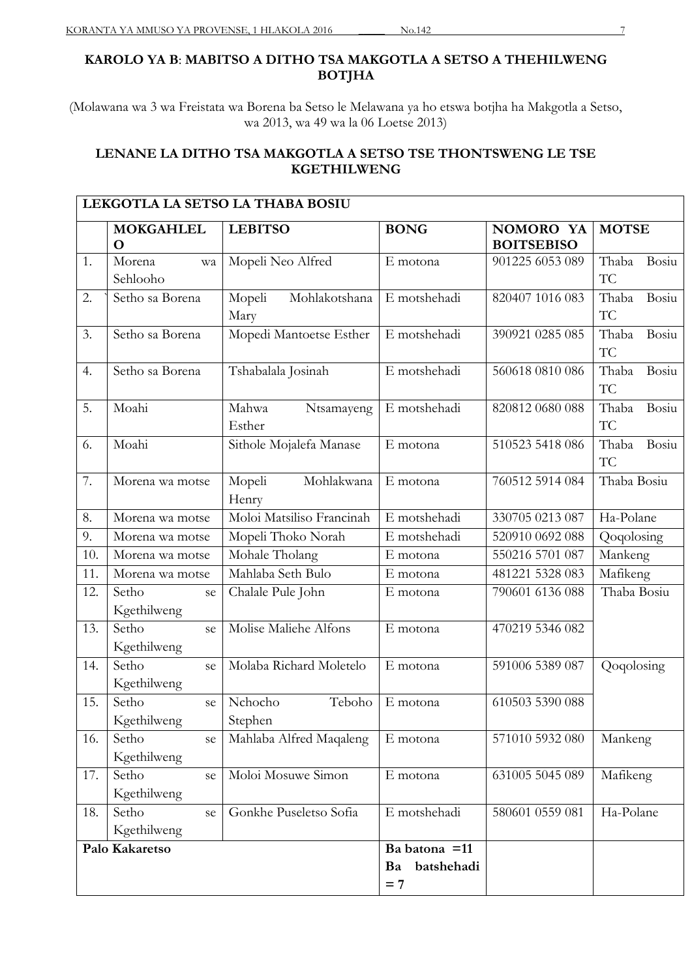## **KAROLO YA B**: **MABITSO A DITHO TSA MAKGOTLA A SETSO A THEHILWENG BOTJHA**

(Molawana wa 3 wa Freistata wa Borena ba Setso le Melawana ya ho etswa botjha ha Makgotla a Setso, wa 2013, wa 49 wa la 06 Loetse 2013)

## **LENANE LA DITHO TSA MAKGOTLA A SETSO TSE THONTSWENG LE TSE KGETHILWENG**

|     | <b>MOKGAHLEL</b><br>O      | <b>LEBITSO</b>                  | <b>BONG</b>                                 | NOMORO YA<br><b>BOITSEBISO</b> | <b>MOTSE</b>         |
|-----|----------------------------|---------------------------------|---------------------------------------------|--------------------------------|----------------------|
| 1.  | Morena<br>wa<br>Sehlooho   | Mopeli Neo Alfred               | E motona                                    | 901225 6053 089                | Thaba<br>Bosiu<br>TC |
| 2.  | Setho sa Borena            | Mohlakotshana<br>Mopeli<br>Mary | E motshehadi                                | 820407 1016 083                | Thaba<br>Bosiu<br>TC |
| 3.  | Setho sa Borena            | Mopedi Mantoetse Esther         | E motshehadi                                | 390921 0285 085                | Bosiu<br>Thaba<br>TC |
| 4.  | Setho sa Borena            | Tshabalala Josinah              | E motshehadi                                | 560618 0810 086                | Thaba<br>Bosiu<br>TC |
| 5.  | Moahi                      | Mahwa<br>Ntsamayeng<br>Esther   | E motshehadi                                | 820812 0680 088                | Thaba<br>Bosiu<br>TC |
| 6.  | Moahi                      | Sithole Mojalefa Manase         | E motona                                    | 510523 5418 086                | Thaba<br>Bosiu<br>TC |
| 7.  | Morena wa motse            | Mohlakwana<br>Mopeli<br>Henry   | E motona                                    | 760512 5914 084                | Thaba Bosiu          |
| 8.  | Morena wa motse            | Moloi Matsiliso Francinah       | E motshehadi                                | 330705 0213 087                | Ha-Polane            |
| 9.  | Morena wa motse            | Mopeli Thoko Norah              | E motshehadi                                | 520910 0692 088                | Qoqolosing           |
| 10. | Morena wa motse            | Mohale Tholang                  | E motona                                    | 550216 5701 087                | Mankeng              |
| 11. | Morena wa motse            | Mahlaba Seth Bulo               | E motona                                    | 481221 5328 083                | Mafikeng             |
| 12. | Setho<br>se<br>Kgethilweng | Chalale Pule John               | E motona                                    | 790601 6136 088                | Thaba Bosiu          |
| 13. | Setho<br>se<br>Kgethilweng | Molise Maliehe Alfons           | E motona                                    | 470219 5346 082                |                      |
| 14. | Setho<br>se<br>Kgethilweng | Molaba Richard Moletelo         | E motona                                    | 591006 5389 087                | Qoqolosing           |
| 15. | Setho<br>se<br>Kgethilweng | Teboho<br>Nchocho<br>Stephen    | E motona                                    | 610503 5390 088                |                      |
| 16. | Setho<br>se<br>Kgethilweng | Mahlaba Alfred Maqaleng         | E motona                                    | 571010 5932 080                | Mankeng              |
| 17. | Setho<br>se<br>Kgethilweng | Moloi Mosuwe Simon              | E motona                                    | 631005 5045 089                | Mafikeng             |
| 18. | Setho<br>se<br>Kgethilweng | Gonkhe Puseletso Sofia          | E motshehadi                                | 580601 0559 081                | Ha-Polane            |
|     | Palo Kakaretso             |                                 | Ba batona = 11<br>batshehadi<br>Ba<br>$= 7$ |                                |                      |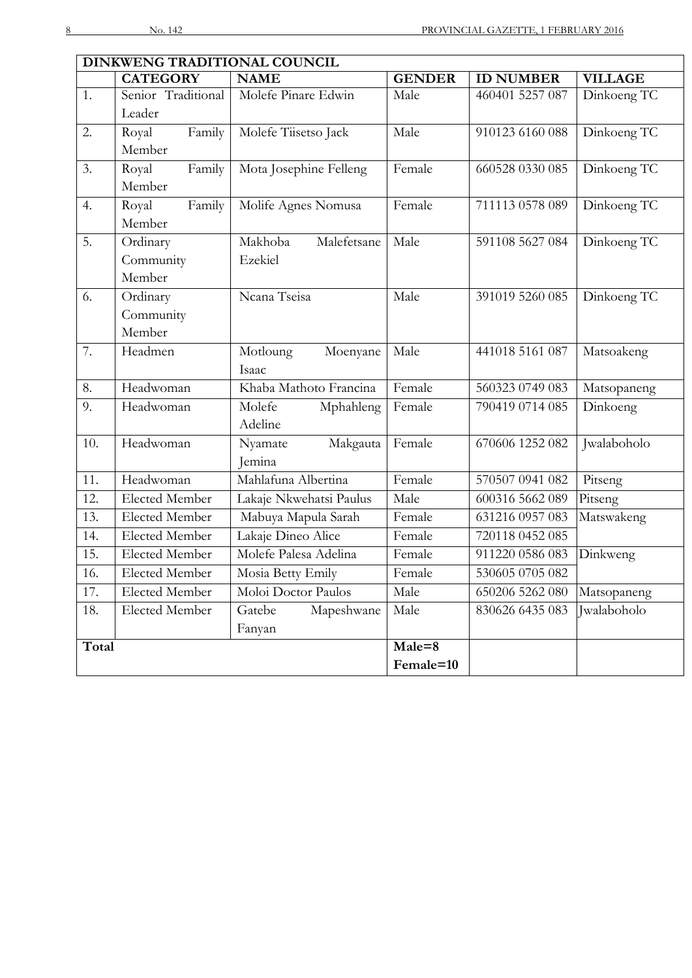|       | DINKWENG TRADITIONAL COUNCIL |                         |               |                  |                |  |  |  |
|-------|------------------------------|-------------------------|---------------|------------------|----------------|--|--|--|
|       | <b>CATEGORY</b>              | <b>NAME</b>             | <b>GENDER</b> | <b>ID NUMBER</b> | <b>VILLAGE</b> |  |  |  |
| 1.    | Senior Traditional           | Molefe Pinare Edwin     | Male          | 460401 5257 087  | Dinkoeng TC    |  |  |  |
|       | Leader                       |                         |               |                  |                |  |  |  |
| 2.    | Family<br>Royal              | Molefe Tiisetso Jack    | Male          | 910123 6160 088  | Dinkoeng TC    |  |  |  |
|       | Member                       |                         |               |                  |                |  |  |  |
| 3.    | Family<br>Royal              | Mota Josephine Felleng  | Female        | 660528 0330 085  | Dinkoeng TC    |  |  |  |
|       | Member                       |                         |               |                  |                |  |  |  |
| 4.    | Family<br>Royal              | Molife Agnes Nomusa     | Female        | 711113 0578 089  | Dinkoeng TC    |  |  |  |
|       | Member                       |                         |               |                  |                |  |  |  |
| 5.    | Ordinary                     | Makhoba<br>Malefetsane  | Male          | 591108 5627 084  | Dinkoeng TC    |  |  |  |
|       | Community                    | Ezekiel                 |               |                  |                |  |  |  |
|       | Member                       |                         |               |                  |                |  |  |  |
| 6.    | Ordinary                     | Ncana Tseisa            | Male          | 391019 5260 085  | Dinkoeng TC    |  |  |  |
|       | Community                    |                         |               |                  |                |  |  |  |
|       | Member                       |                         |               |                  |                |  |  |  |
| 7.    | Headmen                      | Motloung<br>Moenyane    | Male          | 441018 5161 087  | Matsoakeng     |  |  |  |
|       |                              | Isaac                   |               |                  |                |  |  |  |
| 8.    | Headwoman                    | Khaba Mathoto Francina  | Female        | 560323 0749 083  | Matsopaneng    |  |  |  |
| 9.    | Headwoman                    | Molefe<br>Mphahleng     | Female        | 790419 0714 085  | Dinkoeng       |  |  |  |
|       |                              | Adeline                 |               |                  |                |  |  |  |
| 10.   | Headwoman                    | Nyamate<br>Makgauta     | Female        | 670606 1252 082  | Jwalaboholo    |  |  |  |
|       |                              | Jemina                  |               |                  |                |  |  |  |
| 11.   | Headwoman                    | Mahlafuna Albertina     | Female        | 570507 0941 082  | Pitseng        |  |  |  |
| 12.   | <b>Elected Member</b>        | Lakaje Nkwehatsi Paulus | Male          | 600316 5662 089  | Pitseng        |  |  |  |
| 13.   | <b>Elected Member</b>        | Mabuya Mapula Sarah     | Female        | 631216 0957 083  | Matswakeng     |  |  |  |
| 14.   | Elected Member               | Lakaje Dineo Alice      | Female        | 720118 0452 085  |                |  |  |  |
| 15.   | <b>Elected Member</b>        | Molefe Palesa Adelina   | Female        | 911220 0586 083  | Dinkweng       |  |  |  |
| 16.   | Elected Member               | Mosia Betty Emily       | Female        | 530605 0705 082  |                |  |  |  |
| 17.   | Elected Member               | Moloi Doctor Paulos     | Male          | 650206 5262 080  | Matsopaneng    |  |  |  |
| 18.   | Elected Member               | Gatebe<br>Mapeshwane    | Male          | 830626 6435 083  | Jwalaboholo    |  |  |  |
|       |                              | Fanyan                  |               |                  |                |  |  |  |
| Total |                              |                         | Male=8        |                  |                |  |  |  |
|       |                              |                         | Female=10     |                  |                |  |  |  |
|       |                              |                         |               |                  |                |  |  |  |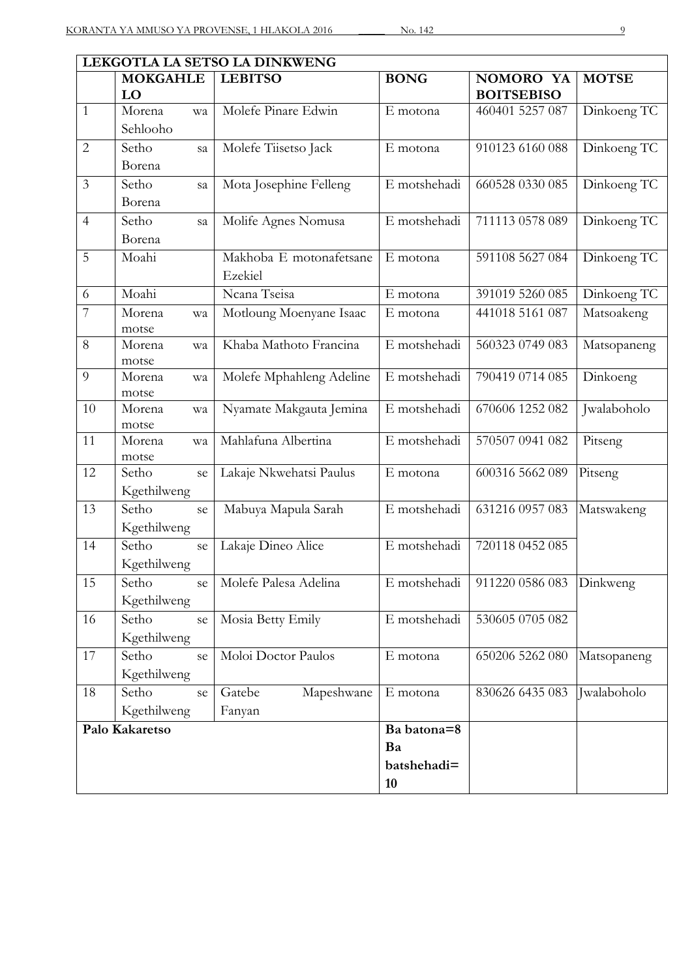| LEKGOTLA LA SETSO LA DINKWENG |                            |                                    |              |                                |              |  |
|-------------------------------|----------------------------|------------------------------------|--------------|--------------------------------|--------------|--|
|                               | <b>MOKGAHLE</b><br>LO      | <b>LEBITSO</b>                     | <b>BONG</b>  | NOMORO YA<br><b>BOITSEBISO</b> | <b>MOTSE</b> |  |
| $\mathbf{1}$                  | Morena<br>wa<br>Sehlooho   | Molefe Pinare Edwin                | E motona     | 460401 5257 087                | Dinkoeng TC  |  |
| $\overline{2}$                | Setho<br>sa<br>Borena      | Molefe Tiisetso Jack               | E motona     | 910123 6160 088                | Dinkoeng TC  |  |
| $\mathfrak{Z}$                | Setho<br>sa<br>Borena      | Mota Josephine Felleng             | E motshehadi | 660528 0330 085                | Dinkoeng TC  |  |
| $\overline{4}$                | Setho<br>sa<br>Borena      | Molife Agnes Nomusa                | E motshehadi | 711113 0578 089                | Dinkoeng TC  |  |
| 5                             | Moahi                      | Makhoba E motonafetsane<br>Ezekiel | E motona     | 591108 5627 084                | Dinkoeng TC  |  |
| 6                             | Moahi                      | Ncana Tseisa                       | E motona     | 391019 5260 085                | Dinkoeng TC  |  |
| $\overline{7}$                | Morena<br>wa<br>motse      | Motloung Moenyane Isaac            | E motona     | 441018 5161 087                | Matsoakeng   |  |
| 8                             | Morena<br>wa<br>motse      | Khaba Mathoto Francina             | E motshehadi | 560323 0749 083                | Matsopaneng  |  |
| 9                             | Morena<br>wa<br>motse      | Molefe Mphahleng Adeline           | E motshehadi | 790419 0714 085                | Dinkoeng     |  |
| 10                            | Morena<br>wa<br>motse      | Nyamate Makgauta Jemina            | E motshehadi | 670606 1252 082                | Jwalaboholo  |  |
| 11                            | Morena<br>wa<br>motse      | Mahlafuna Albertina                | E motshehadi | 570507 0941 082                | Pitseng      |  |
| 12                            | Setho<br>se<br>Kgethilweng | Lakaje Nkwehatsi Paulus            | E motona     | 600316 5662 089                | Pitseng      |  |
| 13                            | Setho<br>se<br>Kgethilweng | Mabuya Mapula Sarah                | E motshehadi | 631216 0957 083                | Matswakeng   |  |
| 14                            | Setho<br>se<br>Kgethilweng | Lakaje Dineo Alice                 | E motshehadi | 720118 0452 085                |              |  |
| 15                            | Setho<br>se<br>Kgethilweng | Molefe Palesa Adelina              | E motshehadi | 911220 0586 083                | Dinkweng     |  |
| 16                            | Setho<br>se<br>Kgethilweng | Mosia Betty Emily                  | E motshehadi | 530605 0705 082                |              |  |
| 17                            | Setho<br>se<br>Kgethilweng | Moloi Doctor Paulos                | E motona     | 650206 5262 080                | Matsopaneng  |  |
| 18                            | Setho<br>se<br>Kgethilweng | Gatebe<br>Mapeshwane<br>Fanyan     | E motona     | 830626 6435 083                | Jwalaboholo  |  |
|                               | Palo Kakaretso             |                                    | Ba batona=8  |                                |              |  |
|                               |                            |                                    | Ba           |                                |              |  |
|                               |                            |                                    | batshehadi=  |                                |              |  |
|                               |                            |                                    | 10           |                                |              |  |
|                               |                            |                                    |              |                                |              |  |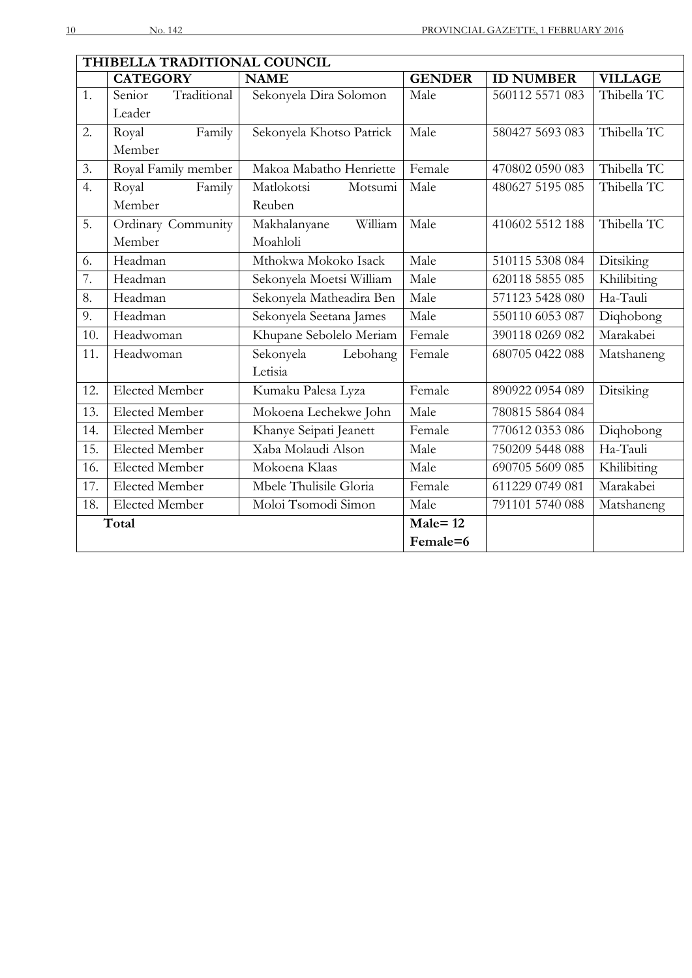|     | THIBELLA TRADITIONAL COUNCIL |                          |               |                  |                |  |  |
|-----|------------------------------|--------------------------|---------------|------------------|----------------|--|--|
|     | <b>CATEGORY</b>              | <b>NAME</b>              | <b>GENDER</b> | <b>ID NUMBER</b> | <b>VILLAGE</b> |  |  |
| 1.  | Traditional<br>Senior        | Sekonyela Dira Solomon   | Male          | 560112 5571 083  | Thibella TC    |  |  |
|     | Leader                       |                          |               |                  |                |  |  |
| 2.  | Royal<br>Family              | Sekonyela Khotso Patrick | Male          | 580427 5693 083  | Thibella TC    |  |  |
|     | Member                       |                          |               |                  |                |  |  |
| 3.  | Royal Family member          | Makoa Mabatho Henriette  | Female        | 470802 0590 083  | Thibella TC    |  |  |
| 4.  | Family<br>Royal              | Matlokotsi<br>Motsumi    | Male          | 480627 5195 085  | Thibella TC    |  |  |
|     | Member                       | Reuben                   |               |                  |                |  |  |
| 5.  | Ordinary Community           | Makhalanyane<br>William  | Male          | 410602 5512 188  | Thibella TC    |  |  |
|     | Member                       | Moahloli                 |               |                  |                |  |  |
| 6.  | Headman                      | Mthokwa Mokoko Isack     | Male          | 510115 5308 084  | Ditsiking      |  |  |
| 7.  | Headman                      | Sekonyela Moetsi William | Male          | 620118 5855 085  | Khilibiting    |  |  |
| 8.  | Headman                      | Sekonyela Matheadira Ben | Male          | 571123 5428 080  | Ha-Tauli       |  |  |
| 9.  | Headman                      | Sekonyela Seetana James  | Male          | 550110 6053 087  | Diqhobong      |  |  |
| 10. | Headwoman                    | Khupane Sebolelo Meriam  | Female        | 390118 0269 082  | Marakabei      |  |  |
| 11. | Headwoman                    | Sekonyela<br>Lebohang    | Female        | 680705 0422 088  | Matshaneng     |  |  |
|     |                              | Letisia                  |               |                  |                |  |  |
| 12. | <b>Elected Member</b>        | Kumaku Palesa Lyza       | Female        | 890922 0954 089  | Ditsiking      |  |  |
| 13. | <b>Elected Member</b>        | Mokoena Lechekwe John    | Male          | 780815 5864 084  |                |  |  |
| 14. | <b>Elected Member</b>        | Khanye Seipati Jeanett   | Female        | 770612 0353 086  | Diqhobong      |  |  |
| 15. | <b>Elected Member</b>        | Xaba Molaudi Alson       | Male          | 750209 5448 088  | Ha-Tauli       |  |  |
| 16. | <b>Elected Member</b>        | Mokoena Klaas            | Male          | 690705 5609 085  | Khilibiting    |  |  |
| 17. | <b>Elected Member</b>        | Mbele Thulisile Gloria   | Female        | 611229 0749 081  | Marakabei      |  |  |
| 18. | Elected Member               | Moloi Tsomodi Simon      | Male          | 791101 5740 088  | Matshaneng     |  |  |
|     | Total                        |                          | $Male = 12$   |                  |                |  |  |
|     |                              |                          | Female=6      |                  |                |  |  |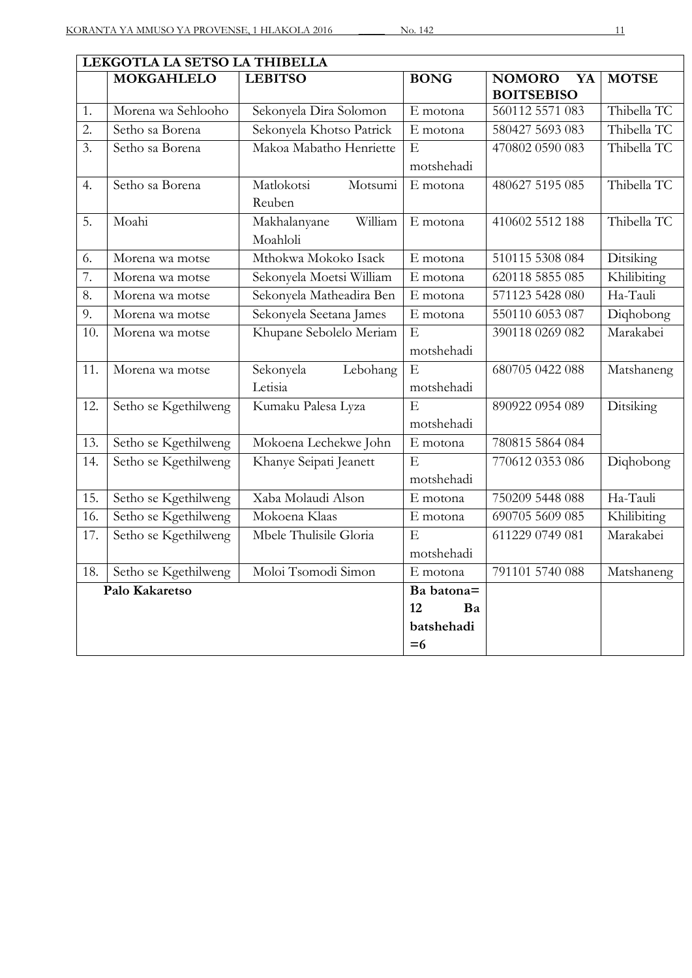|                   | LEKGOTLA LA SETSO LA THIBELLA |                          |                |                                          |              |  |  |
|-------------------|-------------------------------|--------------------------|----------------|------------------------------------------|--------------|--|--|
|                   | <b>MOKGAHLELO</b>             | <b>LEBITSO</b>           | <b>BONG</b>    | <b>NOMORO</b><br>YA<br><b>BOITSEBISO</b> | <b>MOTSE</b> |  |  |
| 1.                | Morena wa Sehlooho            | Sekonyela Dira Solomon   | E motona       | 560112 5571 083                          | Thibella TC  |  |  |
| 2.                | Setho sa Borena               | Sekonyela Khotso Patrick | E motona       | 580427 5693 083                          | Thibella TC  |  |  |
| 3.                | Setho sa Borena               | Makoa Mabatho Henriette  | $\overline{E}$ | 470802 0590 083                          | Thibella TC  |  |  |
|                   |                               |                          | motshehadi     |                                          |              |  |  |
| 4.                | Setho sa Borena               | Matlokotsi<br>Motsumi    | E motona       | 480627 5195 085                          | Thibella TC  |  |  |
|                   |                               | Reuben                   |                |                                          |              |  |  |
| 5.                | Moahi                         | William<br>Makhalanyane  | E motona       | 410602 5512 188                          | Thibella TC  |  |  |
|                   |                               | Moahloli                 |                |                                          |              |  |  |
| 6.                | Morena wa motse               | Mthokwa Mokoko Isack     | E motona       | 510115 5308 084                          | Ditsiking    |  |  |
| 7.                | Morena wa motse               | Sekonyela Moetsi William | E motona       | 620118 5855 085                          | Khilibiting  |  |  |
| 8.                | Morena wa motse               | Sekonyela Matheadira Ben | E motona       | 571123 5428 080                          | Ha-Tauli     |  |  |
| 9.                | Morena wa motse               | Sekonyela Seetana James  | E motona       | 550110 6053 087                          | Diqhobong    |  |  |
| 10.               | Morena wa motse               | Khupane Sebolelo Meriam  | $\overline{E}$ | 390118 0269 082                          | Marakabei    |  |  |
|                   |                               |                          | motshehadi     |                                          |              |  |  |
| 11.               | Morena wa motse               | Sekonyela<br>Lebohang    | E              | 680705 0422 088                          | Matshaneng   |  |  |
|                   |                               | Letisia                  | motshehadi     |                                          |              |  |  |
| 12.               | Setho se Kgethilweng          | Kumaku Palesa Lyza       | $\overline{E}$ | 890922 0954 089                          | Ditsiking    |  |  |
|                   |                               |                          | motshehadi     |                                          |              |  |  |
| 13.               | Setho se Kgethilweng          | Mokoena Lechekwe John    | E motona       | 780815 5864 084                          |              |  |  |
| 14.               | Setho se Kgethilweng          | Khanye Seipati Jeanett   | E              | 770612 0353 086                          | Dighobong    |  |  |
|                   |                               |                          | motshehadi     |                                          |              |  |  |
| 15.               | Setho se Kgethilweng          | Xaba Molaudi Alson       | E motona       | 750209 5448 088                          | Ha-Tauli     |  |  |
| 16.               | Setho se Kgethilweng          | Mokoena Klaas            | E motona       | 690705 5609 085                          | Khilibiting  |  |  |
| $\overline{17}$ . | Setho se Kgethilweng          | Mbele Thulisile Gloria   | $\overline{E}$ | 611229 0749 081                          | Marakabei    |  |  |
|                   |                               |                          | motshehadi     |                                          |              |  |  |
| 18.               | Setho se Kgethilweng          | Moloi Tsomodi Simon      | E motona       | 791101 5740 088                          | Matshaneng   |  |  |
|                   | Palo Kakaretso                |                          | Ba batona=     |                                          |              |  |  |
|                   |                               |                          | 12<br>Ba       |                                          |              |  |  |
|                   |                               |                          | batshehadi     |                                          |              |  |  |
|                   |                               |                          | $= 6$          |                                          |              |  |  |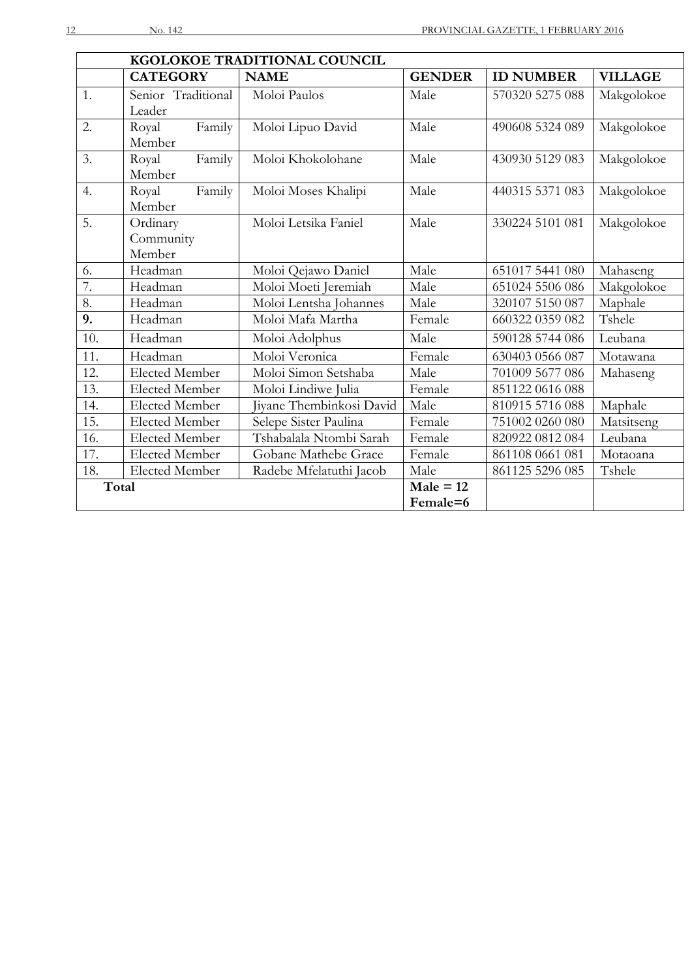|       | KGOLOKOE TRADITIONAL COUNCIL |                          |               |                  |                |  |  |
|-------|------------------------------|--------------------------|---------------|------------------|----------------|--|--|
|       | <b>CATEGORY</b>              | <b>NAME</b>              | <b>GENDER</b> | <b>ID NUMBER</b> | <b>VILLAGE</b> |  |  |
| 1.    | Senior Traditional           | Moloi Paulos             | Male          | 570320 5275 088  | Makgolokoe     |  |  |
|       | Leader                       |                          |               |                  |                |  |  |
| 2.    | Family<br>Royal              | Moloi Lipuo David        | Male          | 490608 5324 089  | Makgolokoe     |  |  |
|       | Member                       |                          |               |                  |                |  |  |
| 3.    | Family<br>Royal              | Moloi Khokolohane        | Male          | 430930 5129 083  | Makgolokoe     |  |  |
|       | Member                       |                          |               |                  |                |  |  |
| 4.    | Royal<br>Family              | Moloi Moses Khalipi      | Male          | 440315 5371 083  | Makgolokoe     |  |  |
|       | Member                       |                          |               |                  |                |  |  |
| 5.    | Ordinary                     | Moloi Letsika Faniel     | Male          | 330224 5101 081  | Makgolokoe     |  |  |
|       | Community                    |                          |               |                  |                |  |  |
|       | Member                       |                          |               |                  |                |  |  |
| 6.    | Headman                      | Moloi Qejawo Daniel      | Male          | 651017 5441 080  | Mahaseng       |  |  |
| 7.    | Headman                      | Moloi Moeti Jeremiah     | Male          | 651024 5506 086  | Makgolokoe     |  |  |
| 8.    | Headman                      | Moloi Lentsha Johannes   | Male          | 320107 5150 087  | Maphale        |  |  |
| 9.    | Headman                      | Moloi Mafa Martha        | Female        | 660322 0359 082  | Tshele         |  |  |
| 10.   | Headman                      | Moloi Adolphus           | Male          | 590128 5744 086  | Leubana        |  |  |
| 11.   | Headman                      | Moloi Veronica           | Female        | 630403 0566 087  | Motawana       |  |  |
| 12.   | <b>Elected Member</b>        | Moloi Simon Setshaba     | Male          | 701009 5677 086  | Mahaseng       |  |  |
| 13.   | <b>Elected Member</b>        | Moloi Lindiwe Julia      | Female        | 851122 0616 088  |                |  |  |
| 14.   | <b>Elected Member</b>        | Jiyane Thembinkosi David | Male          | 810915 5716 088  | Maphale        |  |  |
| 15.   | <b>Elected Member</b>        | Selepe Sister Paulina    | Female        | 751002 0260 080  | Matsitseng     |  |  |
| 16.   | Elected Member               | Tshabalala Ntombi Sarah  | Female        | 820922 0812 084  | Leubana        |  |  |
| 17.   | <b>Elected Member</b>        | Gobane Mathebe Grace     | Female        | 861108 0661 081  | Motaoana       |  |  |
| 18.   | <b>Elected Member</b>        | Radebe Mfelatuthi Jacob  | Male          | 861125 5296 085  | Tshele         |  |  |
| Total |                              |                          | $Male = 12$   |                  |                |  |  |
|       |                              |                          | Female=6      |                  |                |  |  |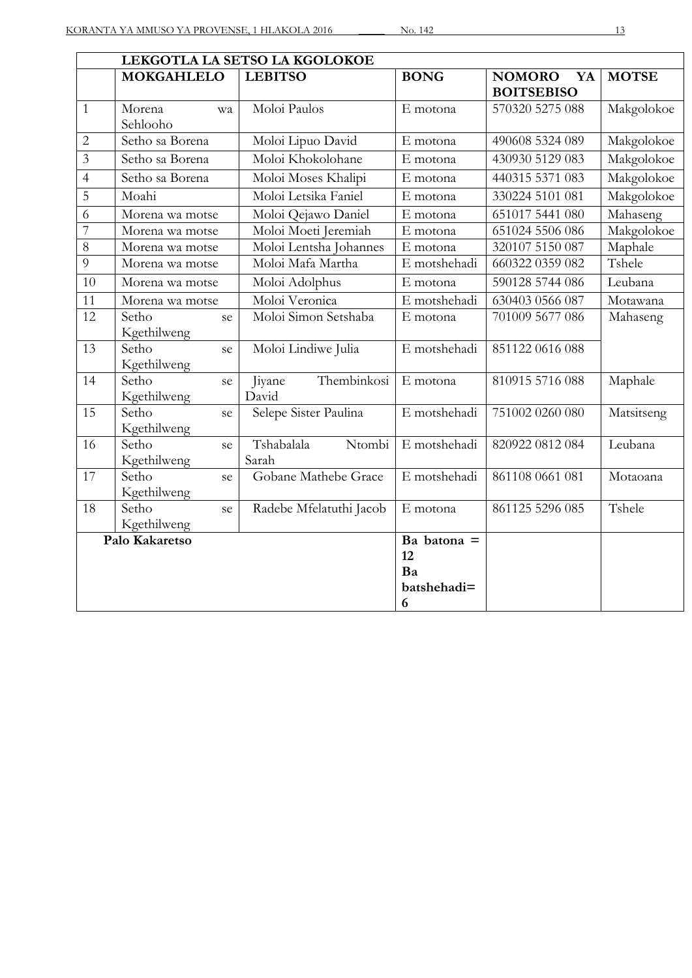|                | LEKGOTLA LA SETSO LA KGOLOKOE |                                |                                               |                                          |              |
|----------------|-------------------------------|--------------------------------|-----------------------------------------------|------------------------------------------|--------------|
|                | <b>MOKGAHLELO</b>             | <b>LEBITSO</b>                 | <b>BONG</b>                                   | <b>NOMORO</b><br>YA<br><b>BOITSEBISO</b> | <b>MOTSE</b> |
| $\mathbf{1}$   | Morena<br>wa<br>Sehlooho      | Moloi Paulos                   | E motona                                      | 570320 5275 088                          | Makgolokoe   |
| $\overline{c}$ | Setho sa Borena               | Moloi Lipuo David              | E motona                                      | 490608 5324 089                          | Makgolokoe   |
| $\overline{3}$ | Setho sa Borena               | Moloi Khokolohane              | E motona                                      | 430930 5129 083                          | Makgolokoe   |
| $\overline{4}$ | Setho sa Borena               | Moloi Moses Khalipi            | E motona                                      | 440315 5371 083                          | Makgolokoe   |
| $\overline{5}$ | Moahi                         | Moloi Letsika Faniel           | E motona                                      | 330224 5101 081                          | Makgolokoe   |
| 6              | Morena wa motse               | Moloi Qejawo Daniel            | E motona                                      | 651017 5441 080                          | Mahaseng     |
| 7              | Morena wa motse               | Moloi Moeti Jeremiah           | E motona                                      | 651024 5506 086                          | Makgolokoe   |
| 8              | Morena wa motse               | Moloi Lentsha Johannes         | E motona                                      | 320107 5150 087                          | Maphale      |
| 9              | Morena wa motse               | Moloi Mafa Martha              | E motshehadi                                  | 660322 0359 082                          | Tshele       |
| 10             | Morena wa motse               | Moloi Adolphus                 | E motona                                      | 590128 5744 086                          | Leubana      |
| 11             | Morena wa motse               | Moloi Veronica                 | E motshehadi                                  | 630403 0566 087                          | Motawana     |
| 12             | Setho<br>se<br>Kgethilweng    | Moloi Simon Setshaba           | E motona                                      | 701009 5677 086                          | Mahaseng     |
| 13             | Setho<br>se<br>Kgethilweng    | Moloi Lindiwe Julia            | E motshehadi                                  | 851122 0616 088                          |              |
| 14             | Setho<br>se<br>Kgethilweng    | Thembinkosi<br>Jiyane<br>David | E motona                                      | 810915 5716 088                          | Maphale      |
| 15             | Setho<br>se<br>Kgethilweng    | Selepe Sister Paulina          | E motshehadi                                  | 751002 0260 080                          | Matsitseng   |
| 16             | Setho<br>se<br>Kgethilweng    | Tshabalala<br>Ntombi<br>Sarah  | E motshehadi                                  | 820922 0812 084                          | Leubana      |
| 17             | Setho<br>se<br>Kgethilweng    | Gobane Mathebe Grace           | E motshehadi                                  | 861108 0661 081                          | Motaoana     |
| 18             | Setho<br>se<br>Kgethilweng    | Radebe Mfelatuthi Jacob        | E motona                                      | 861125 5296 085                          | Tshele       |
|                | Palo Kakaretso                |                                | Ba batona $=$<br>12<br>Ba<br>batshehadi=<br>6 |                                          |              |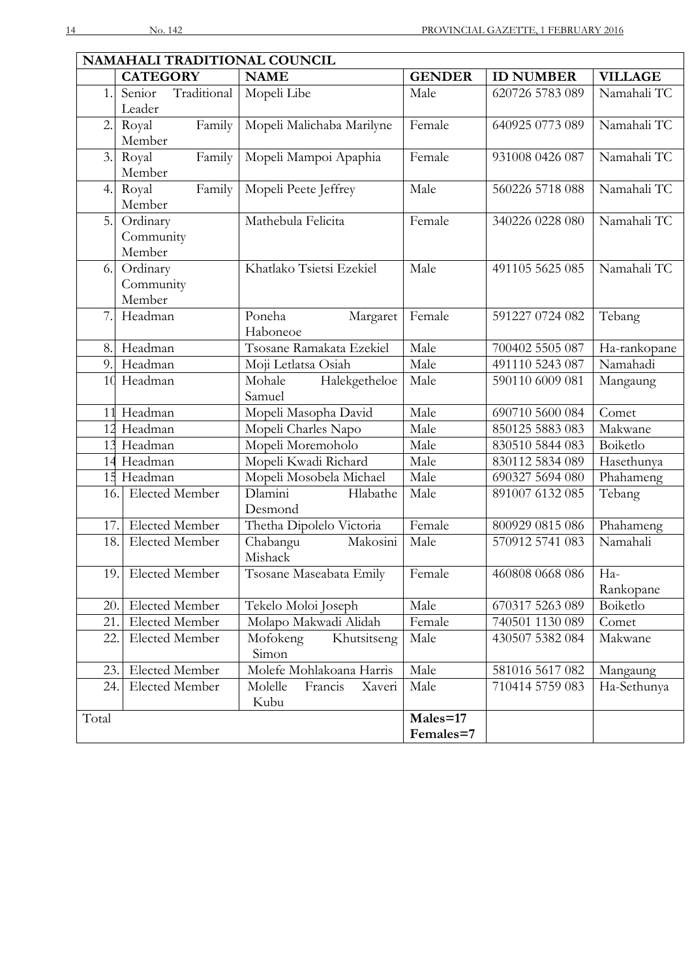| NAMAHALI TRADITIONAL COUNCIL |                       |                              |               |                       |                |  |
|------------------------------|-----------------------|------------------------------|---------------|-----------------------|----------------|--|
|                              | <b>CATEGORY</b>       | <b>NAME</b>                  | <b>GENDER</b> | <b>ID NUMBER</b>      | <b>VILLAGE</b> |  |
| 1.                           | Traditional<br>Senior | Mopeli Libe                  | Male          | 620726 5783 089       | Namahali TC    |  |
|                              | Leader                |                              |               |                       |                |  |
| 2.                           | Family<br>Royal       | Mopeli Malichaba Marilyne    | Female        | 640925 0773 089       | Namahali TC    |  |
|                              | Member                |                              |               |                       |                |  |
| 3.                           | Royal<br>Family       | Mopeli Mampoi Apaphia        | Female        | 931008 0426 087       | Namahali TC    |  |
|                              | Member                |                              |               |                       |                |  |
| 4.                           | Family<br>Royal       | Mopeli Peete Jeffrey         | Male          | 560226 5718 088       | Namahali TC    |  |
|                              | Member                |                              |               |                       |                |  |
| 5.                           | Ordinary              | Mathebula Felicita           | Female        | 340226 0228 080       | Namahali TC    |  |
|                              | Community             |                              |               |                       |                |  |
|                              | Member                |                              |               |                       |                |  |
| 6.                           | Ordinary              | Khatlako Tsietsi Ezekiel     | Male          | 491105 5625 085       | Namahali TC    |  |
|                              | Community<br>Member   |                              |               |                       |                |  |
| 7.                           | Headman               | Poneha                       | Female        | 591227 0724 082       |                |  |
|                              |                       | Margaret<br>Haboneoe         |               |                       | Tebang         |  |
| 8.                           | Headman               | Tsosane Ramakata Ezekiel     | Male          | 700402 5505 087       | Ha-rankopane   |  |
| 9.                           | Headman               | Moji Letlatsa Osiah          | Male          | 491110 5243 087       | Namahadi       |  |
| 10                           | Headman               | Halekgetheloe<br>Mohale      | Male          | 590110 6009 081       | Mangaung       |  |
|                              |                       | Samuel                       |               |                       |                |  |
|                              | 11 Headman            | Mopeli Masopha David         | Male          | 690710 5600 084       | Comet          |  |
|                              | 12 Headman            | Mopeli Charles Napo          | Male          | 850125 5883 083       | Makwane        |  |
| 13                           | Headman               | Mopeli Moremoholo            | Male          | 830510 5844 083       | Boiketlo       |  |
| 14                           | Headman               | Mopeli Kwadi Richard         | Male          | 830112 5834 089       | Hasethunya     |  |
|                              | 15 Headman            | Mopeli Mosobela Michael      | Male          | 690327 5694 080       | Phahameng      |  |
| 16.                          | Elected Member        | Dlamini<br>Hlabathe          | Male          | 891007 6132 085       | Tebang         |  |
|                              |                       | Desmond                      |               |                       |                |  |
| 17.                          | <b>Elected Member</b> | Thetha Dipolelo Victoria     | Female        | 800929 0815 086       | Phahameng      |  |
| 18.                          | Elected Member        | Makosini<br>Chabangu         | Male          | 570912 5741 083       | Namahali       |  |
|                              |                       | Mishack                      |               |                       |                |  |
| 19.                          | Elected Member        | Tsosane Maseabata Emily      | Female        | 460808 0668 086   Ha- |                |  |
|                              |                       |                              |               |                       | Rankopane      |  |
| 20.                          | <b>Elected Member</b> | Tekelo Moloi Joseph          | Male          | 670317 5263 089       | Boiketlo       |  |
| 21.                          | Elected Member        | Molapo Makwadi Alidah        | Female        | 740501 1130 089       | Comet          |  |
| 22.                          | <b>Elected Member</b> | Mofokeng<br>Khutsitseng      | Male          | 430507 5382 084       | Makwane        |  |
|                              |                       | Simon                        |               |                       |                |  |
| 23.                          | <b>Elected Member</b> | Molefe Mohlakoana Harris     | Male          | 581016 5617 082       | Mangaung       |  |
| 24.                          | Elected Member        | Molelle<br>Francis<br>Xaveri | Male          | 710414 5759 083       | Ha-Sethunya    |  |
|                              |                       | Kubu                         |               |                       |                |  |
| Total                        |                       |                              | Males=17      |                       |                |  |
|                              |                       |                              | Females=7     |                       |                |  |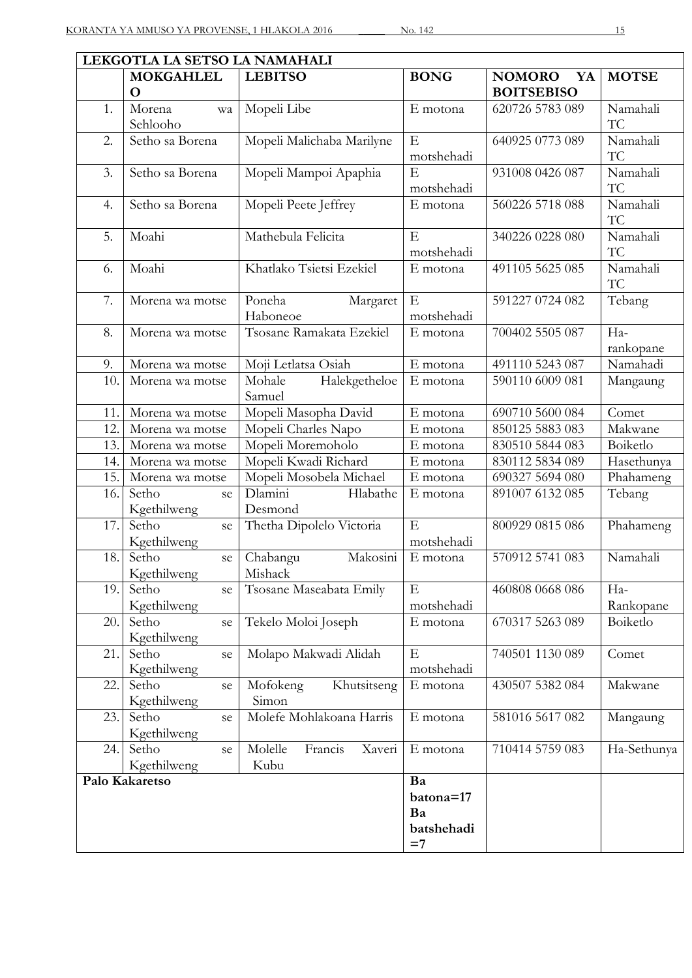|  | v |  |
|--|---|--|
|  |   |  |

| LEKGOTLA LA SETSO LA NAMAHALI |                            |                              |             |                     |                  |
|-------------------------------|----------------------------|------------------------------|-------------|---------------------|------------------|
|                               | <b>MOKGAHLEL</b>           | <b>LEBITSO</b>               | <b>BONG</b> | <b>NOMORO</b><br>YA | <b>MOTSE</b>     |
|                               | $\mathbf 0$                |                              |             | <b>BOITSEBISO</b>   |                  |
| 1.                            | Morena<br>wa               | Mopeli Libe                  | E motona    | 620726 5783 089     | Namahali         |
|                               | Sehlooho                   |                              |             |                     | TC               |
| 2.                            | Setho sa Borena            | Mopeli Malichaba Marilyne    | $\mathbf E$ | 640925 0773 089     | Namahali         |
|                               |                            |                              | motshehadi  |                     | TC               |
| 3.                            | Setho sa Borena            | Mopeli Mampoi Apaphia        | E           | 931008 0426 087     | Namahali         |
|                               |                            |                              | motshehadi  |                     | TC               |
| 4.                            | Setho sa Borena            | Mopeli Peete Jeffrey         | E motona    | 560226 5718 088     | Namahali         |
|                               |                            |                              |             |                     | TC               |
| 5.                            | Moahi                      | Mathebula Felicita           | E           | 340226 0228 080     | Namahali         |
|                               |                            |                              | motshehadi  |                     | TC               |
| 6.                            | Moahi                      | Khatlako Tsietsi Ezekiel     | E motona    | 491105 5625 085     | Namahali         |
|                               |                            |                              |             |                     | TC               |
| 7.                            | Morena wa motse            | Poneha<br>Margaret           | $\mathbf E$ | 591227 0724 082     | Tebang           |
|                               |                            | Haboneoe                     | motshehadi  |                     |                  |
| 8.                            | Morena wa motse            | Tsosane Ramakata Ezekiel     | E motona    | 700402 5505 087     | Ha-              |
|                               |                            |                              |             |                     | rankopane        |
| 9.                            | Morena wa motse            | Moji Letlatsa Osiah          | E motona    | 491110 5243 087     | Namahadi         |
| 10.                           | Morena wa motse            | Halekgetheloe<br>Mohale      | E motona    | 590110 6009 081     | Mangaung         |
|                               |                            | Samuel                       |             |                     |                  |
| 11                            | Morena wa motse            | Mopeli Masopha David         | E motona    | 690710 5600 084     | Comet            |
| 12.                           | Morena wa motse            | Mopeli Charles Napo          | E motona    | 850125 5883 083     | Makwane          |
| 13.                           | Morena wa motse            | Mopeli Moremoholo            | E motona    | 830510 5844 083     | Boiketlo         |
| 14.                           | Morena wa motse            | Mopeli Kwadi Richard         | E motona    | 830112 5834 089     | Hasethunya       |
| 15.                           | Morena wa motse            | Mopeli Mosobela Michael      | E motona    | 690327 5694 080     | Phahameng        |
| 16.                           | Setho<br>se                | Dlamini<br>Hlabathe          | E motona    | 891007 6132 085     | Tebang           |
|                               | Kgethilweng                | Desmond                      |             |                     |                  |
| 17.                           | Setho<br>se                | Thetha Dipolelo Victoria     | E           | 800929 0815 086     | Phahameng        |
|                               | Kgethilweng                |                              | motshehadi  |                     |                  |
| 18.                           | Setho<br>se                | Makosini<br>Chabangu         | E motona    | 570912 5741 083     | Namahali         |
|                               | Kgethilweng                | Mishack                      | $\mathbf E$ |                     |                  |
| 19.                           | Setho<br>se<br>Kgethilweng | Tsosane Maseabata Emily      | motshehadi  | 460808 0668 086     | Ha-<br>Rankopane |
|                               | Setho                      |                              |             | 670317 5263 089     |                  |
| 20.                           | se<br>Kgethilweng          | Tekelo Moloi Joseph          | E motona    |                     | Boiketlo         |
| 21.                           | Setho                      | Molapo Makwadi Alidah        | E           | 740501 1130 089     | Comet            |
|                               | se<br>Kgethilweng          |                              | motshehadi  |                     |                  |
| 22.                           | Setho<br>se                | Khutsitseng<br>Mofokeng      | E motona    | 430507 5382 084     | Makwane          |
|                               | Kgethilweng                | Simon                        |             |                     |                  |
| 23.                           | Setho<br>se                | Molefe Mohlakoana Harris     | E motona    | 581016 5617 082     | Mangaung         |
|                               | Kgethilweng                |                              |             |                     |                  |
| 24.                           | Setho<br>se                | Molelle<br>Francis<br>Xaveri | E motona    | 710414 5759 083     | Ha-Sethunya      |
|                               | Kgethilweng                | Kubu                         |             |                     |                  |
|                               | Palo Kakaretso             |                              | Ba          |                     |                  |
|                               |                            |                              | batona=17   |                     |                  |
|                               |                            |                              | Ba          |                     |                  |
|                               |                            |                              | batshehadi  |                     |                  |
|                               |                            |                              | $=7$        |                     |                  |
|                               |                            |                              |             |                     |                  |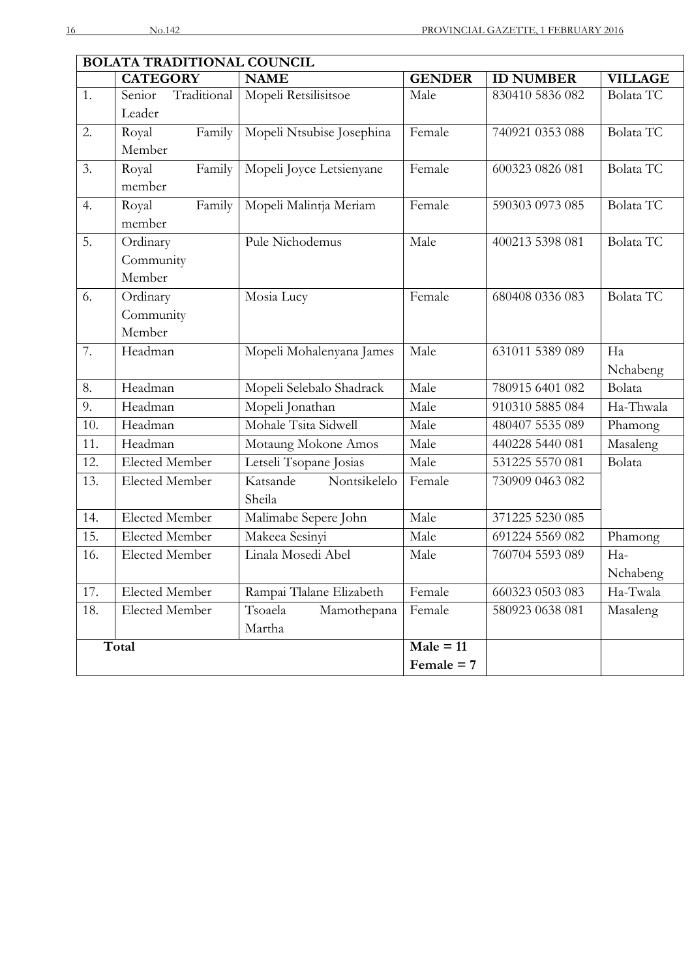| <b>BOLATA TRADITIONAL COUNCIL</b> |                       |                           |                               |                  |                  |
|-----------------------------------|-----------------------|---------------------------|-------------------------------|------------------|------------------|
|                                   | <b>CATEGORY</b>       | <b>NAME</b>               | <b>GENDER</b>                 | <b>ID NUMBER</b> | <b>VILLAGE</b>   |
| 1.                                | Traditional<br>Senior | Mopeli Retsilisitsoe      | Male                          | 830410 5836 082  | Bolata TC        |
|                                   | Leader                |                           |                               |                  |                  |
| 2.                                | Family<br>Royal       | Mopeli Ntsubise Josephina | Female                        | 740921 0353 088  | Bolata TC        |
|                                   | Member                |                           |                               |                  |                  |
| 3.                                | Royal<br>Family       | Mopeli Joyce Letsienyane  | Female                        | 600323 0826 081  | <b>Bolata TC</b> |
|                                   | member                |                           |                               |                  |                  |
| 4.                                | Family<br>Royal       | Mopeli Malintja Meriam    | Female                        | 590303 0973 085  | <b>Bolata TC</b> |
|                                   | member                |                           |                               |                  |                  |
| 5.                                | Ordinary              | Pule Nichodemus           | Male                          | 400213 5398 081  | <b>Bolata TC</b> |
|                                   | Community             |                           |                               |                  |                  |
|                                   | Member                |                           |                               |                  |                  |
| 6.                                | Ordinary              | Mosia Lucy                | Female                        | 680408 0336 083  | <b>Bolata TC</b> |
|                                   | Community             |                           |                               |                  |                  |
|                                   | Member                |                           |                               |                  |                  |
| 7.                                | Headman               | Mopeli Mohalenyana James  | Male                          | 631011 5389 089  | Ha               |
|                                   |                       |                           |                               |                  | Nchabeng         |
| 8.                                | Headman               | Mopeli Selebalo Shadrack  | Male                          | 780915 6401 082  | Bolata           |
| 9.                                | Headman               | Mopeli Jonathan           | Male                          | 910310 5885 084  | Ha-Thwala        |
| 10.                               | Headman               | Mohale Tsita Sidwell      | Male                          | 480407 5535 089  | Phamong          |
| 11.                               | Headman               | Motaung Mokone Amos       | Male                          | 440228 5440 081  | Masaleng         |
| 12.                               | <b>Elected Member</b> | Letseli Tsopane Josias    | Male                          | 531225 5570 081  | Bolata           |
| 13.                               | <b>Elected Member</b> | Nontsikelelo<br>Katsande  | Female                        | 730909 0463 082  |                  |
|                                   |                       | Sheila                    |                               |                  |                  |
| 14.                               | <b>Elected Member</b> | Malimabe Sepere John      | Male                          | 371225 5230 085  |                  |
| 15.                               | <b>Elected Member</b> | Makeea Sesinyi            | Male                          | 691224 5569 082  | Phamong          |
| 16.                               | <b>Elected Member</b> | Linala Mosedi Abel        | Male                          | 760704 5593 089  | Ha-              |
|                                   |                       |                           |                               |                  | Nchabeng         |
| 17.                               | Elected Member        | Rampai Tlalane Elizabeth  | Female                        | 660323 0503 083  | Ha-Twala         |
| 18.                               | Elected Member        | Tsoaela<br>Mamothepana    | Female                        | 580923 0638 081  | Masaleng         |
|                                   |                       | Martha                    |                               |                  |                  |
|                                   | Total                 |                           | $\overline{\text{Male}} = 11$ |                  |                  |
|                                   |                       |                           | Female $= 7$                  |                  |                  |
|                                   |                       |                           |                               |                  |                  |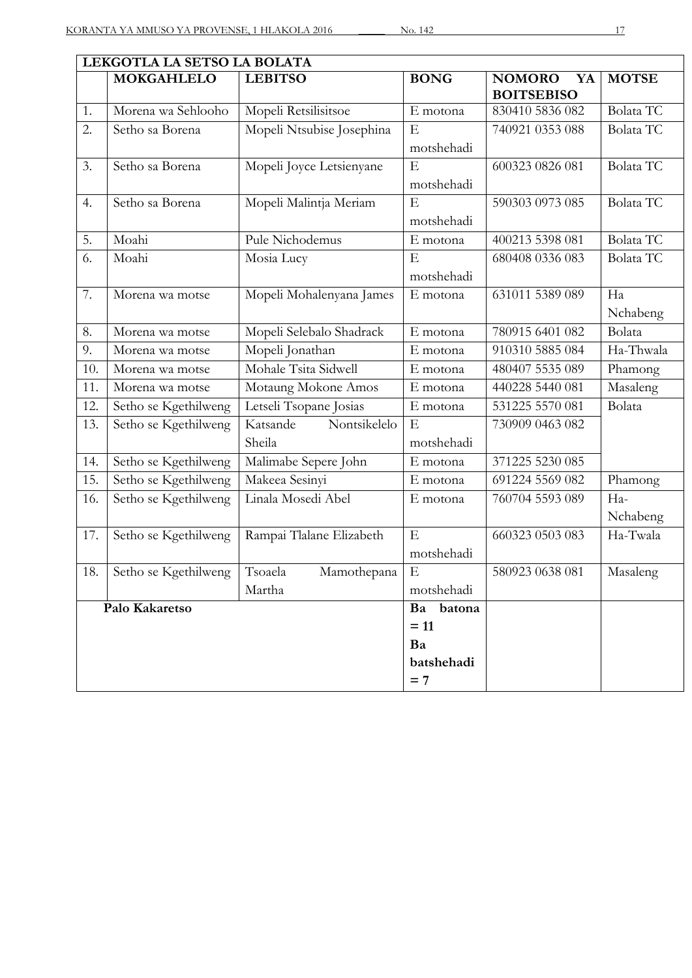| LEKGOTLA LA SETSO LA BOLATA |                      |                           |             |                                          |                  |
|-----------------------------|----------------------|---------------------------|-------------|------------------------------------------|------------------|
|                             | <b>MOKGAHLELO</b>    | <b>LEBITSO</b>            | <b>BONG</b> | <b>NOMORO</b><br>YA<br><b>BOITSEBISO</b> | <b>MOTSE</b>     |
| 1.                          | Morena wa Sehlooho   | Mopeli Retsilisitsoe      | E motona    | 830410 5836 082                          | <b>Bolata TC</b> |
| 2.                          | Setho sa Borena      | Mopeli Ntsubise Josephina | E           | 740921 0353 088                          | <b>Bolata TC</b> |
|                             |                      |                           | motshehadi  |                                          |                  |
| 3.                          | Setho sa Borena      | Mopeli Joyce Letsienyane  | E           | 600323 0826 081                          | Bolata TC        |
|                             |                      |                           | motshehadi  |                                          |                  |
| 4.                          | Setho sa Borena      | Mopeli Malintja Meriam    | E           | 590303 0973 085                          | Bolata TC        |
|                             |                      |                           | motshehadi  |                                          |                  |
| 5.                          | Moahi                | Pule Nichodemus           | E motona    | 400213 5398 081                          | <b>Bolata TC</b> |
| 6.                          | Moahi                | Mosia Lucy                | E           | 680408 0336 083                          | Bolata TC        |
|                             |                      |                           | motshehadi  |                                          |                  |
| 7.                          | Morena wa motse      | Mopeli Mohalenyana James  | E motona    | 631011 5389 089                          | Ha               |
|                             |                      |                           |             |                                          | Nchabeng         |
| 8.                          | Morena wa motse      | Mopeli Selebalo Shadrack  | E motona    | 780915 6401 082                          | Bolata           |
| 9.                          | Morena wa motse      | Mopeli Jonathan           | E motona    | 910310 5885 084                          | Ha-Thwala        |
| 10.                         | Morena wa motse      | Mohale Tsita Sidwell      | E motona    | 480407 5535 089                          | Phamong          |
| 11.                         | Morena wa motse      | Motaung Mokone Amos       | E motona    | 440228 5440 081                          | Masaleng         |
| 12.                         | Setho se Kgethilweng | Letseli Tsopane Josias    | E motona    | 531225 5570 081                          | Bolata           |
| 13.                         | Setho se Kgethilweng | Nontsikelelo<br>Katsande  | $\mathbf E$ | 730909 0463 082                          |                  |
|                             |                      | Sheila                    | motshehadi  |                                          |                  |
| 14.                         | Setho se Kgethilweng | Malimabe Sepere John      | E motona    | 371225 5230 085                          |                  |
| 15.                         | Setho se Kgethilweng | Makeea Sesinyi            | E motona    | 691224 5569 082                          | Phamong          |
| 16.                         | Setho se Kgethilweng | Linala Mosedi Abel        | E motona    | 760704 5593 089                          | Ha-              |
|                             |                      |                           |             |                                          | Nchabeng         |
| 17.                         | Setho se Kgethilweng | Rampai Tlalane Elizabeth  | E           | 660323 0503 083                          | Ha-Twala         |
|                             |                      |                           | motshehadi  |                                          |                  |
| 18.                         | Setho se Kgethilweng | Tsoaela<br>Mamothepana    | Ε           | 580923 0638 081                          | Masaleng         |
|                             |                      | Martha                    | motshehadi  |                                          |                  |
| Palo Kakaretso              |                      | Ba batona                 |             |                                          |                  |
|                             |                      |                           | $= 11$      |                                          |                  |
|                             |                      |                           | Ba          |                                          |                  |
|                             |                      |                           | batshehadi  |                                          |                  |
|                             |                      |                           | $= 7$       |                                          |                  |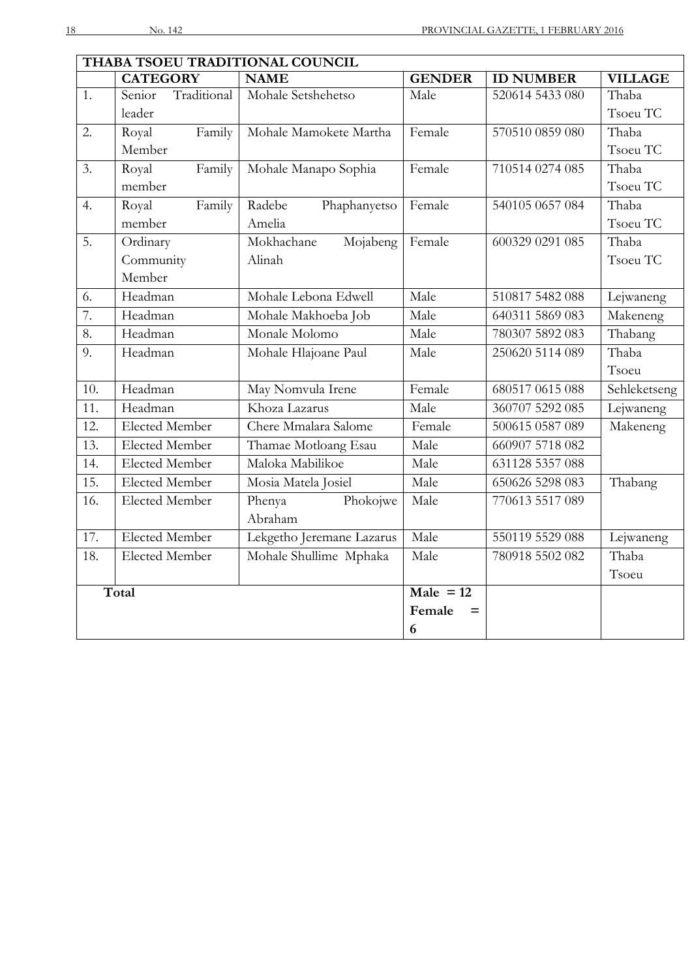|                   | THABA TSOEU TRADITIONAL COUNCIL |                           |                               |                  |                |
|-------------------|---------------------------------|---------------------------|-------------------------------|------------------|----------------|
|                   | <b>CATEGORY</b>                 | <b>NAME</b>               | <b>GENDER</b>                 | <b>ID NUMBER</b> | <b>VILLAGE</b> |
| 1.                | Traditional<br>Senior           | Mohale Setshehetso        | Male                          | 520614 5433 080  | Thaba          |
|                   | leader                          |                           |                               |                  | Tsoeu TC       |
| 2.                | Family<br>Royal                 | Mohale Mamokete Martha    | Female                        | 570510 0859 080  | Thaba          |
|                   | Member                          |                           |                               |                  | Tsoeu TC       |
| 3.                | Royal<br>Family                 | Mohale Manapo Sophia      | Female                        | 710514 0274 085  | Thaba          |
|                   | member                          |                           |                               |                  | Tsoeu TC       |
| 4.                | Family<br>Royal                 | Radebe<br>Phaphanyetso    | Female                        | 540105 0657 084  | Thaba          |
|                   | member                          | Amelia                    |                               |                  | Tsoeu TC       |
| $\overline{5}$ .  | Ordinary                        | Mokhachane<br>Mojabeng    | Female                        | 600329 0291 085  | Thaba          |
|                   | Community                       | Alinah                    |                               |                  | Tsoeu TC       |
|                   | Member                          |                           |                               |                  |                |
| 6.                | Headman                         | Mohale Lebona Edwell      | Male                          | 510817 5482 088  | Lejwaneng      |
| 7.                | Headman                         | Mohale Makhoeba Job       | Male                          | 640311 5869 083  | Makeneng       |
| 8.                | Headman                         | Monale Molomo             | Male                          | 780307 5892 083  | Thabang        |
| 9.                | Headman                         | Mohale Hlajoane Paul      | Male                          | 250620 5114 089  | Thaba          |
|                   |                                 |                           |                               |                  | Tsoeu          |
| 10.               | Headman                         | May Nomvula Irene         | Female                        | 680517 0615 088  | Sehleketseng   |
| 11.               | Headman                         | Khoza Lazarus             | Male                          | 360707 5292 085  | Lejwaneng      |
| 12.               | <b>Elected Member</b>           | Chere Mmalara Salome      | Female                        | 500615 0587 089  | Makeneng       |
| 13.               | <b>Elected Member</b>           | Thamae Motloang Esau      | Male                          | 660907 5718 082  |                |
| 14.               | <b>Elected Member</b>           | Maloka Mabilikoe          | Male                          | 631128 5357 088  |                |
| $\overline{15}$ . | <b>Elected Member</b>           | Mosia Matela Josiel       | Male                          | 650626 5298 083  | Thabang        |
| 16.               | <b>Elected Member</b>           | Phokojwe<br>Phenya        | Male                          | 770613 5517 089  |                |
|                   |                                 | Abraham                   |                               |                  |                |
| 17.               | <b>Elected Member</b>           | Lekgetho Jeremane Lazarus | Male                          | 550119 5529 088  | Lejwaneng      |
| 18.               | <b>Elected Member</b>           | Mohale Shullime Mphaka    | Male                          | 780918 5502 082  | Thaba          |
|                   |                                 |                           |                               |                  | Tsoeu          |
|                   | Total                           |                           | $\overline{\text{Male}}$ = 12 |                  |                |
|                   |                                 |                           | Female<br>$=$                 |                  |                |
|                   |                                 |                           | 6                             |                  |                |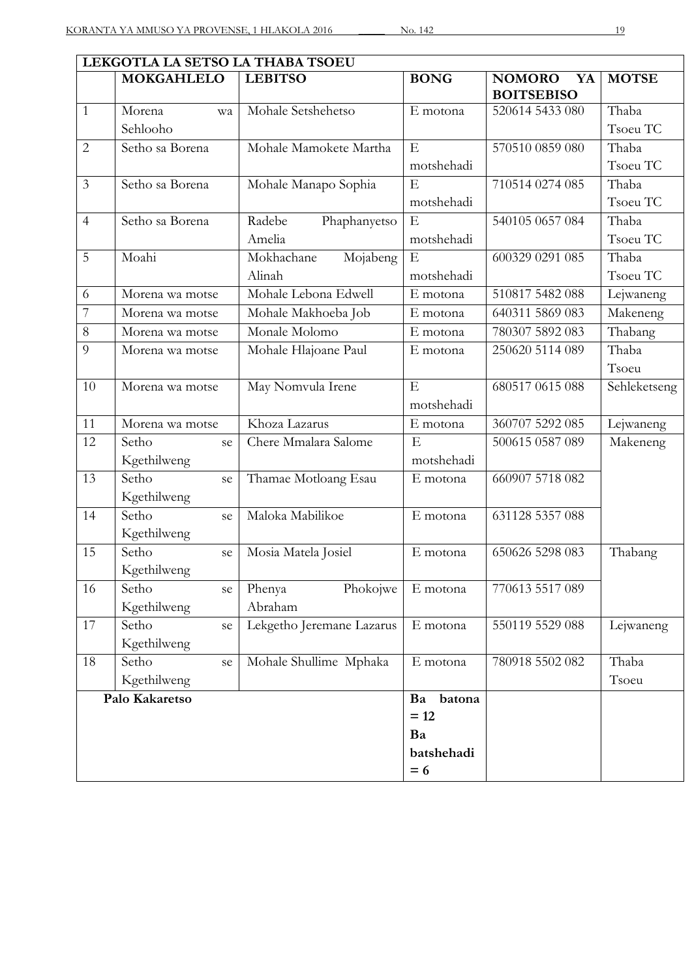| LEKGOTLA LA SETSO LA THABA TSOEU |                   |                           |              |                     |              |
|----------------------------------|-------------------|---------------------------|--------------|---------------------|--------------|
|                                  | <b>MOKGAHLELO</b> | <b>LEBITSO</b>            | <b>BONG</b>  | <b>NOMORO</b><br>YA | <b>MOTSE</b> |
|                                  |                   |                           |              | <b>BOITSEBISO</b>   |              |
| $\overline{1}$                   | Morena<br>wa      | Mohale Setshehetso        | E motona     | 520614 5433 080     | Thaba        |
|                                  | Sehlooho          |                           |              |                     | Tsoeu TC     |
| $\overline{2}$                   | Setho sa Borena   | Mohale Mamokete Martha    | E            | 570510 0859 080     | Thaba        |
|                                  |                   |                           | motshehadi   |                     | Tsoeu TC     |
| $\mathfrak{Z}$                   | Setho sa Borena   | Mohale Manapo Sophia      | E            | 710514 0274 085     | Thaba        |
|                                  |                   |                           | motshehadi   |                     | Tsoeu TC     |
| $\overline{4}$                   | Setho sa Borena   | Radebe<br>Phaphanyetso    | ${\bf E}$    | 540105 0657 084     | Thaba        |
|                                  |                   | Amelia                    | motshehadi   |                     | Tsoeu TC     |
| 5                                | Moahi             | Mojabeng<br>Mokhachane    | E            | 600329 0291 085     | Thaba        |
|                                  |                   | Alinah                    | motshehadi   |                     | Tsoeu TC     |
| 6                                | Morena wa motse   | Mohale Lebona Edwell      | E motona     | 510817 5482 088     | Lejwaneng    |
| $\overline{7}$                   | Morena wa motse   | Mohale Makhoeba Job       | E motona     | 640311 5869 083     | Makeneng     |
| $8\,$                            | Morena wa motse   | Monale Molomo             | E motona     | 780307 5892 083     | Thabang      |
| 9                                | Morena wa motse   | Mohale Hlajoane Paul      | E motona     | 250620 5114 089     | Thaba        |
|                                  |                   |                           |              |                     | Tsoeu        |
| 10                               | Morena wa motse   | May Nomvula Irene         | E            | 680517 0615 088     | Sehleketseng |
|                                  |                   |                           | motshehadi   |                     |              |
| 11                               | Morena wa motse   | Khoza Lazarus             | E motona     | 360707 5292 085     | Lejwaneng    |
| 12                               | Setho<br>se       | Chere Mmalara Salome      | E            | 500615 0587 089     | Makeneng     |
|                                  | Kgethilweng       |                           | motshehadi   |                     |              |
| 13                               | Setho<br>se       | Thamae Motloang Esau      | E motona     | 660907 5718 082     |              |
|                                  | Kgethilweng       |                           |              |                     |              |
| 14                               | Setho<br>se       | Maloka Mabilikoe          | E motona     | 631128 5357 088     |              |
|                                  | Kgethilweng       |                           |              |                     |              |
| 15                               | Setho<br>se       | Mosia Matela Josiel       | E motona     | 650626 5298 083     | Thabang      |
|                                  | Kgethilweng       |                           |              |                     |              |
| 16                               | Setho<br>se       | Phokojwe<br>Phenya        | E motona     | 770613 5517 089     |              |
|                                  | Kgethilweng       | Abraham                   |              |                     |              |
| 17                               | Setho<br>se       | Lekgetho Jeremane Lazarus | E motona     | 550119 5529 088     | Lejwaneng    |
|                                  | Kgethilweng       |                           |              |                     |              |
| 18                               | Setho<br>se       | Mohale Shullime Mphaka    | E motona     | 780918 5502 082     | Thaba        |
|                                  | Kgethilweng       |                           |              |                     | Tsoeu        |
|                                  | Palo Kakaretso    |                           | batona<br>Ba |                     |              |
|                                  |                   |                           | $= 12$       |                     |              |
|                                  |                   |                           | Ba           |                     |              |
|                                  |                   |                           | batshehadi   |                     |              |
|                                  |                   |                           | $= 6$        |                     |              |
|                                  |                   |                           |              |                     |              |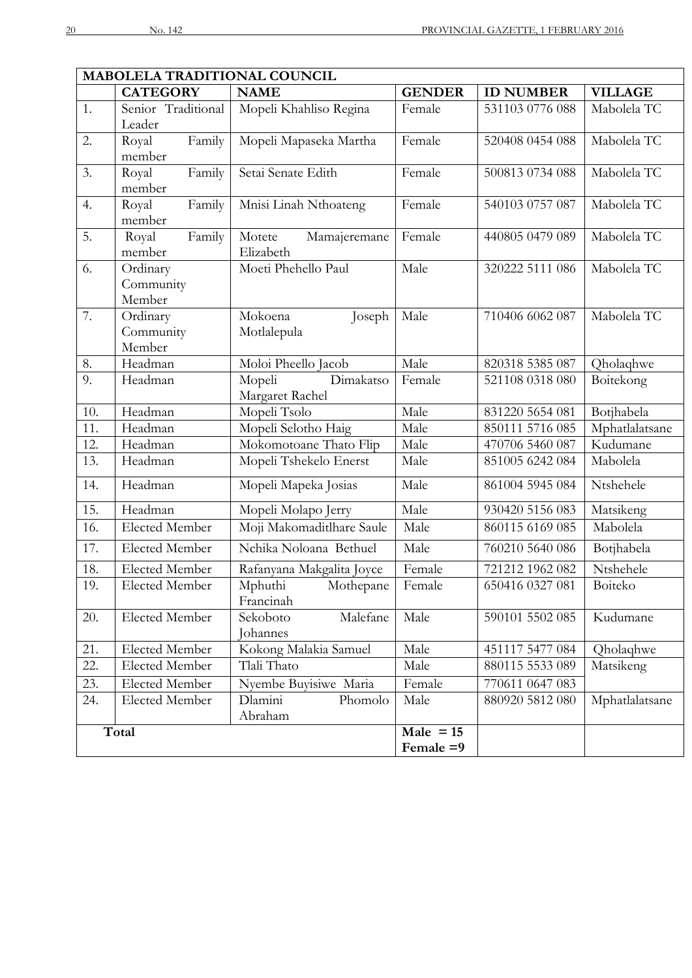$\overline{\phantom{a}}$ 

| MABOLELA TRADITIONAL COUNCIL |                              |                           |               |                  |                |  |
|------------------------------|------------------------------|---------------------------|---------------|------------------|----------------|--|
|                              | <b>CATEGORY</b>              | <b>NAME</b>               | <b>GENDER</b> | <b>ID NUMBER</b> | <b>VILLAGE</b> |  |
| 1.                           | Senior Traditional<br>Leader | Mopeli Khahliso Regina    | Female        | 531103 0776 088  | Mabolela TC    |  |
| 2.                           | Family<br>Royal              | Mopeli Mapaseka Martha    | Female        | 520408 0454 088  | Mabolela TC    |  |
|                              | member                       |                           |               |                  |                |  |
| 3.                           | Family<br>Royal              | Setai Senate Edith        | Female        | 500813 0734 088  | Mabolela TC    |  |
|                              | member                       |                           |               |                  |                |  |
| 4.                           | Family<br>Royal              | Mnisi Linah Nthoateng     | Female        | 540103 0757 087  | Mabolela TC    |  |
|                              | member                       |                           |               |                  |                |  |
| 5.                           | Royal<br>Family              | Mamajeremane<br>Motete    | Female        | 440805 0479 089  | Mabolela TC    |  |
|                              | member                       | Elizabeth                 |               |                  |                |  |
| 6.                           | Ordinary                     | Moeti Phehello Paul       | Male          | 320222 5111 086  | Mabolela TC    |  |
|                              | Community                    |                           |               |                  |                |  |
|                              | Member                       | Mokoena                   |               |                  |                |  |
| 7.                           | Ordinary<br>Community        | Joseph<br>Motlalepula     | Male          | 710406 6062 087  | Mabolela TC    |  |
|                              | Member                       |                           |               |                  |                |  |
| 8.                           | Headman                      | Moloi Pheello Jacob       | Male          | 820318 5385 087  | Qholaqhwe      |  |
| 9.                           | Headman                      | Dimakatso<br>Mopeli       | Female        | 521108 0318 080  | Boitekong      |  |
|                              |                              | Margaret Rachel           |               |                  |                |  |
| 10.                          | Headman                      | Mopeli Tsolo              | Male          | 831220 5654 081  | Botjhabela     |  |
| 11.                          | Headman                      | Mopeli Selotho Haig       | Male          | 850111 5716 085  | Mphatlalatsane |  |
| 12.                          | Headman                      | Mokomotoane Thato Flip    | Male          | 470706 5460 087  | Kudumane       |  |
| 13.                          | Headman                      | Mopeli Tshekelo Enerst    | Male          | 851005 6242 084  | Mabolela       |  |
| 14.                          | Headman                      | Mopeli Mapeka Josias      | Male          | 861004 5945 084  | Ntshehele      |  |
| $\overline{15}$ .            | Headman                      | Mopeli Molapo Jerry       | Male          | 930420 5156 083  | Matsikeng      |  |
| 16.                          | <b>Elected Member</b>        | Moji Makomaditlhare Saule | Male          | 860115 6169 085  | Mabolela       |  |
| 17.                          | Elected Member               | Nchika Noloana Bethuel    | Male          | 760210 5640 086  | Botjhabela     |  |
| 18.                          | Elected Member               | Rafanyana Makgalita Joyce | Female        | 721212 1962 082  | Ntshehele      |  |
| 19.                          | <b>Elected Member</b>        | Mphuthi<br>Mothepane      | Female        | 650416 0327 081  | Boiteko        |  |
|                              |                              | Francinah                 |               |                  |                |  |
| 20.                          | Elected Member               | Malefane<br>Sekoboto      | Male          | 590101 5502 085  | Kudumane       |  |
|                              |                              | Johannes                  |               |                  |                |  |
| 21.                          | <b>Elected Member</b>        | Kokong Malakia Samuel     | Male          | 451117 5477 084  | Qholaqhwe      |  |
| 22.                          | Elected Member               | Tlali Thato               | Male          | 880115 5533 089  | Matsikeng      |  |
| 23.                          | Elected Member               | Nyembe Buyisiwe Maria     | Female        | 770611 0647 083  |                |  |
| 24.                          | Elected Member               | Phomolo<br>Dlamini        | Male          | 880920 5812 080  | Mphatlalatsane |  |
|                              |                              | Abraham                   |               |                  |                |  |
|                              | Total                        |                           | $Male = 15$   |                  |                |  |
|                              |                              |                           | Female =9     |                  |                |  |

 $\overline{\phantom{0}}$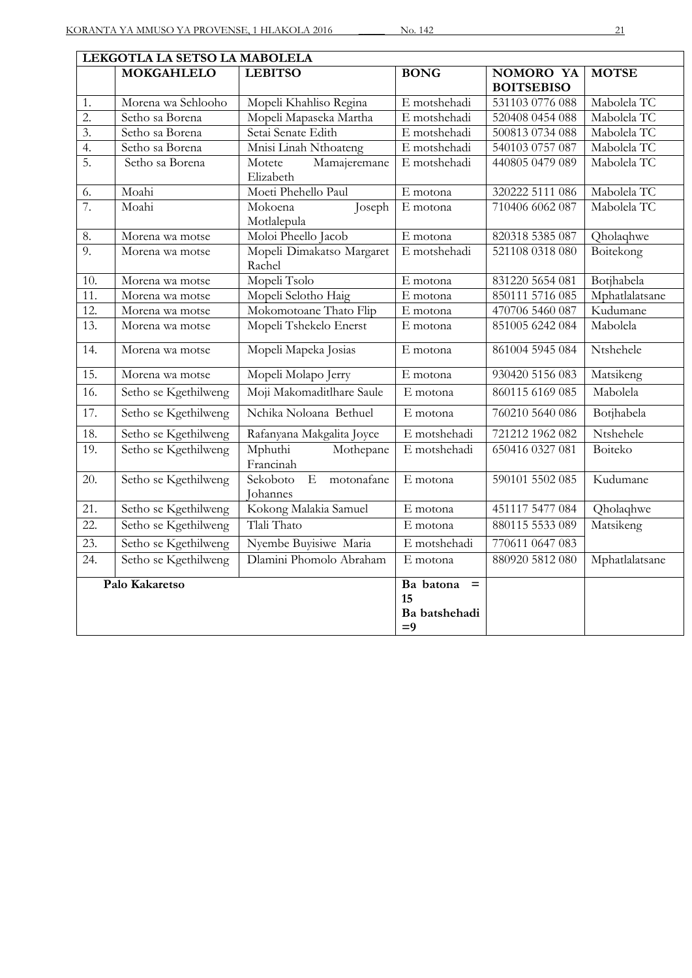| LEKGOTLA LA SETSO LA MABOLELA |                      |                                                      |              |                                |                |  |
|-------------------------------|----------------------|------------------------------------------------------|--------------|--------------------------------|----------------|--|
|                               | <b>MOKGAHLELO</b>    | <b>LEBITSO</b>                                       | <b>BONG</b>  | NOMORO YA<br><b>BOITSEBISO</b> | <b>MOTSE</b>   |  |
| 1.                            | Morena wa Sehlooho   | Mopeli Khahliso Regina                               | E motshehadi | 531103 0776 088                | Mabolela TC    |  |
| $\overline{2}$ .              | Setho sa Borena      | Mopeli Mapaseka Martha                               | E motshehadi | 520408 0454 088                | Mabolela TC    |  |
| $\overline{3}$ .              | Setho sa Borena      | Setai Senate Edith                                   | E motshehadi | 500813 0734 088                | Mabolela TC    |  |
| 4.                            | Setho sa Borena      | Mnisi Linah Nthoateng                                | E motshehadi | 540103 0757 087                | Mabolela TC    |  |
| 5.                            | Setho sa Borena      | Mamajeremane<br>Motete                               | E motshehadi | 440805 0479 089                | Mabolela TC    |  |
|                               |                      | Elizabeth                                            |              |                                |                |  |
| 6.                            | Moahi                | Moeti Phehello Paul                                  | E motona     | 320222 5111 086                | Mabolela TC    |  |
| 7.                            | Moahi                | Joseph<br>Mokoena<br>Motlalepula                     | E motona     | 710406 6062 087                | Mabolela TC    |  |
| 8.                            | Morena wa motse      | Moloi Pheello Jacob                                  | E motona     | 820318 5385 087                | Qholaqhwe      |  |
| 9.                            | Morena wa motse      | Mopeli Dimakatso Margaret<br>Rachel                  | E motshehadi | 521108 0318 080                | Boitekong      |  |
| 10.                           | Morena wa motse      | Mopeli Tsolo                                         | E motona     | 831220 5654 081                | Botjhabela     |  |
| 11.                           | Morena wa motse      | Mopeli Selotho Haig                                  | E motona     | 850111 5716 085                | Mphatlalatsane |  |
| 12.                           | Morena wa motse      | Mokomotoane Thato Flip                               | E motona     | 470706 5460 087                | Kudumane       |  |
| $\overline{13}$ .             | Morena wa motse      | Mopeli Tshekelo Enerst                               | E motona     | 851005 6242 084                | Mabolela       |  |
| 14.                           | Morena wa motse      | Mopeli Mapeka Josias                                 | E motona     | 861004 5945 084                | Ntshehele      |  |
| $\overline{15}$ .             | Morena wa motse      | Mopeli Molapo Jerry                                  | E motona     | 930420 5156 083                | Matsikeng      |  |
| $\overline{16}$ .             | Setho se Kgethilweng | Moji Makomaditlhare Saule                            | E motona     | 860115 6169 085                | Mabolela       |  |
| 17.                           | Setho se Kgethilweng | Nchika Noloana Bethuel                               | E motona     | 760210 5640 086                | Botjhabela     |  |
| 18.                           | Setho se Kgethilweng | Rafanyana Makgalita Joyce                            | E motshehadi | 721212 1962 082                | Ntshehele      |  |
| 19.                           | Setho se Kgethilweng | Mphuthi<br>Mothepane<br>Francinah                    | E motshehadi | 650416 0327 081                | Boiteko        |  |
| 20.                           | Setho se Kgethilweng | $\mathbf{E}$<br>Sekoboto<br>motonafane<br>Johannes   | E motona     | 590101 5502 085                | Kudumane       |  |
| 21.                           | Setho se Kgethilweng | Kokong Malakia Samuel                                | E motona     | 451117 5477 084                | Qholaqhwe      |  |
| 22.                           | Setho se Kgethilweng | Tlali Thato                                          | E motona     | 880115 5533 089                | Matsikeng      |  |
| $\overline{23}$ .             | Setho se Kgethilweng | Nyembe Buyisiwe Maria                                | E motshehadi | 770611 0647 083                |                |  |
| 24.                           | Setho se Kgethilweng | Dlamini Phomolo Abraham                              | E motona     | 880920 5812 080                | Mphatlalatsane |  |
| Palo Kakaretso                |                      | Ba batona<br>$\equiv$<br>15<br>Ba batshehadi<br>$=9$ |              |                                |                |  |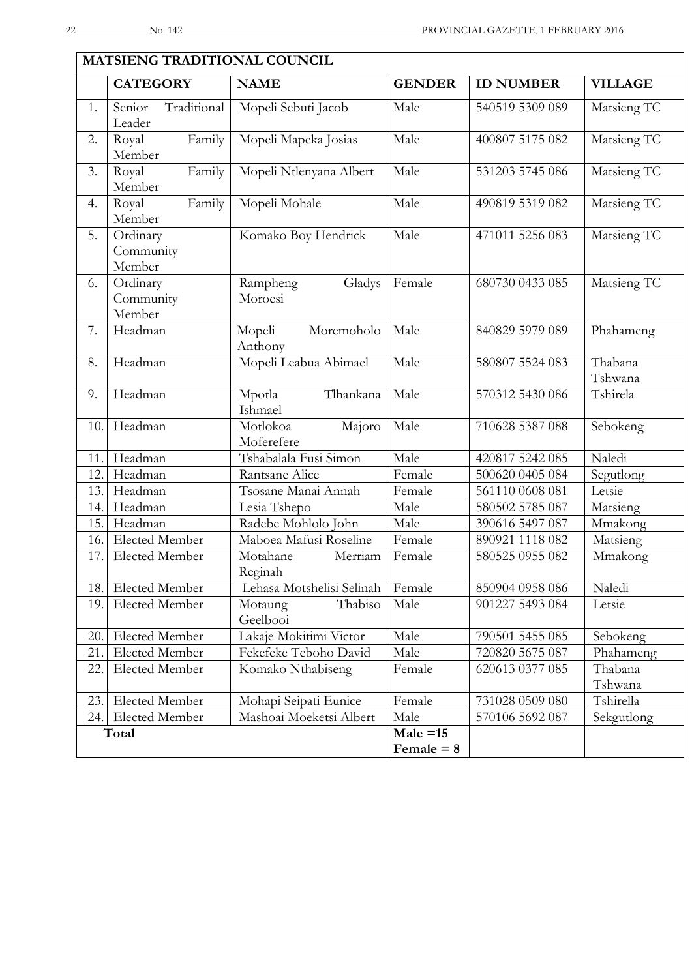|       | <b>MATSIENG TRADITIONAL COUNCIL</b> |                                  |               |                  |                    |  |
|-------|-------------------------------------|----------------------------------|---------------|------------------|--------------------|--|
|       | <b>CATEGORY</b>                     | <b>NAME</b>                      | <b>GENDER</b> | <b>ID NUMBER</b> | <b>VILLAGE</b>     |  |
| 1.    | Traditional<br>Senior<br>Leader     | Mopeli Sebuti Jacob              | Male          | 540519 5309 089  | Matsieng TC        |  |
| 2.    | Royal<br>Family<br>Member           | Mopeli Mapeka Josias             | Male          | 400807 5175 082  | Matsieng TC        |  |
| 3.    | Family<br>Royal<br>Member           | Mopeli Ntlenyana Albert          | Male          | 531203 5745 086  | Matsieng TC        |  |
| 4.    | Family<br>Royal<br>Member           | Mopeli Mohale                    | Male          | 490819 5319 082  | Matsieng TC        |  |
| 5.    | Ordinary<br>Community<br>Member     | Komako Boy Hendrick              | Male          | 471011 5256 083  | Matsieng TC        |  |
| 6.    | Ordinary<br>Community<br>Member     | Rampheng<br>Gladys<br>Moroesi    | Female        | 680730 0433 085  | Matsieng TC        |  |
| 7.    | Headman                             | Moremoholo<br>Mopeli<br>Anthony  | Male          | 840829 5979 089  | Phahameng          |  |
| 8.    | Headman                             | Mopeli Leabua Abimael            | Male          | 580807 5524 083  | Thabana<br>Tshwana |  |
| 9.    | Headman                             | Tlhankana<br>Mpotla<br>Ishmael   | Male          | 570312 5430 086  | Tshirela           |  |
| 10.   | Headman                             | Majoro<br>Motlokoa<br>Moferefere | Male          | 710628 5387 088  | Sebokeng           |  |
| 11.   | Headman                             | Tshabalala Fusi Simon            | Male          | 420817 5242 085  | Naledi             |  |
| 12.   | Headman                             | Rantsane Alice                   | Female        | 500620 0405 084  | Segutlong          |  |
| 13.   | Headman                             | Tsosane Manai Annah              | Female        | 561110 0608 081  | Letsie             |  |
| 14.   | Headman                             | Lesia Tshepo                     | Male          | 580502 5785 087  | Matsieng           |  |
| 15.   | Headman                             | Radebe Mohlolo John              | Male          | 390616 5497 087  | Mmakong            |  |
| 16.   | <b>Elected Member</b>               | Maboea Mafusi Roseline           | Female        | 890921 1118 082  | Matsieng           |  |
| 17.   | <b>Elected Member</b>               | Motahane<br>Merriam<br>Reginah   | Female        | 580525 0955 082  | Mmakong            |  |
| 18.   | Elected Member                      | Lehasa Motshelisi Selinah        | Female        | 850904 0958 086  | Naledi             |  |
| 19.   | <b>Elected Member</b>               | Thabiso<br>Motaung<br>Geelbooi   | Male          | 901227 5493 084  | Letsie             |  |
| 20.   | Elected Member                      | Lakaje Mokitimi Victor           | Male          | 790501 5455 085  | Sebokeng           |  |
| 21.   | <b>Elected Member</b>               | Fekefeke Teboho David            | Male          | 720820 5675 087  | Phahameng          |  |
| 22.   | Elected Member                      | Komako Nthabiseng                | Female        | 620613 0377 085  | Thabana<br>Tshwana |  |
| 23.   | Elected Member                      | Mohapi Seipati Eunice            | Female        | 731028 0509 080  | Tshirella          |  |
| 24.   | Elected Member                      | Mashoai Moeketsi Albert          | Male          | 570106 5692 087  | Sekgutlong         |  |
| Total |                                     | $Male = 15$                      |               |                  |                    |  |
|       |                                     |                                  | Female $= 8$  |                  |                    |  |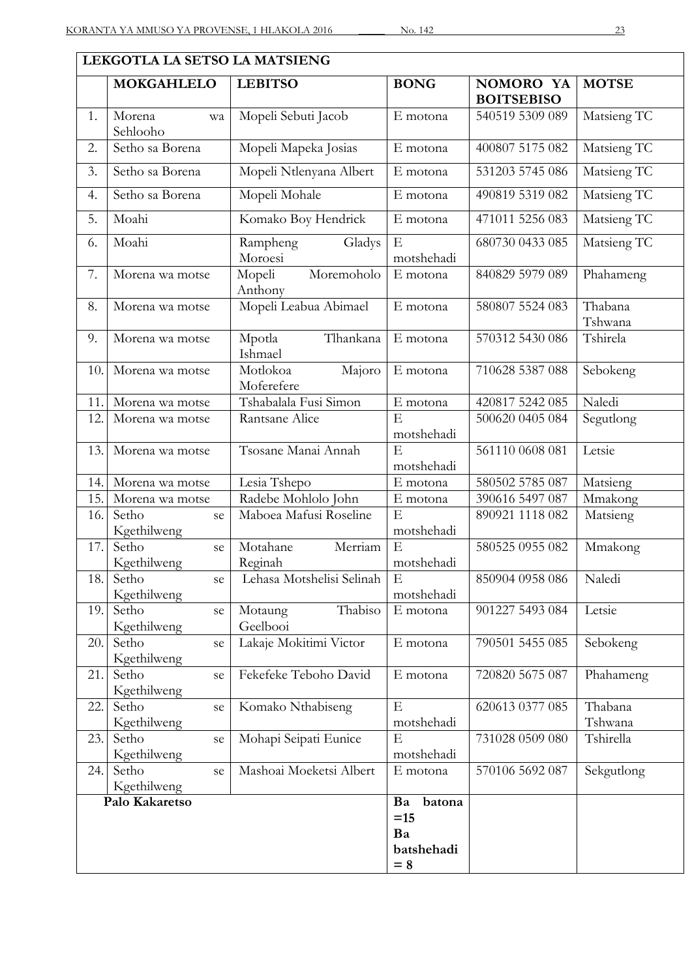|                                | LEKGOTLA LA SETSO LA MATSIENG |                                  |                 |                                |                    |  |  |
|--------------------------------|-------------------------------|----------------------------------|-----------------|--------------------------------|--------------------|--|--|
|                                | <b>MOKGAHLELO</b>             | <b>LEBITSO</b>                   | <b>BONG</b>     | NOMORO YA<br><b>BOITSEBISO</b> | <b>MOTSE</b>       |  |  |
| 1.                             | Morena<br>wa<br>Sehlooho      | Mopeli Sebuti Jacob              | E motona        | 540519 5309 089                | Matsieng TC        |  |  |
| 2.                             | Setho sa Borena               | Mopeli Mapeka Josias             | E motona        | 400807 5175 082                | Matsieng TC        |  |  |
| 3.                             | Setho sa Borena               | Mopeli Ntlenyana Albert          | E motona        | 531203 5745 086                | Matsieng TC        |  |  |
| 4.                             | Setho sa Borena               | Mopeli Mohale                    | E motona        | 490819 5319 082                | Matsieng TC        |  |  |
| 5.                             | Moahi                         | Komako Boy Hendrick              | E motona        | 471011 5256 083                | Matsieng TC        |  |  |
| 6.                             | Moahi                         | Gladys<br>Rampheng<br>Moroesi    | E<br>motshehadi | 680730 0433 085                | Matsieng TC        |  |  |
| 7.                             | Morena wa motse               | Mopeli<br>Moremoholo<br>Anthony  | E motona        | 840829 5979 089                | Phahameng          |  |  |
| 8.                             | Morena wa motse               | Mopeli Leabua Abimael            | E motona        | 580807 5524 083                | Thabana<br>Tshwana |  |  |
| 9.                             | Morena wa motse               | Tlhankana<br>Mpotla<br>Ishmael   | E motona        | 570312 5430 086                | Tshirela           |  |  |
| 10.                            | Morena wa motse               | Motlokoa<br>Majoro<br>Moferefere | E motona        | 710628 5387 088                | Sebokeng           |  |  |
| 11.                            | Morena wa motse               | Tshabalala Fusi Simon            | E motona        | 420817 5242 085                | Naledi             |  |  |
| 12.                            | Morena wa motse               | Rantsane Alice                   | E<br>motshehadi | 500620 0405 084                | Segutlong          |  |  |
| 13.                            | Morena wa motse               | Tsosane Manai Annah              | E<br>motshehadi | 561110 0608 081                | Letsie             |  |  |
| 14.                            | Morena wa motse               | Lesia Tshepo                     | E motona        | 580502 5785 087                | Matsieng           |  |  |
| 15.                            | Morena wa motse               | Radebe Mohlolo John              | E motona        | 390616 5497 087                | Mmakong            |  |  |
| 16.                            | Setho<br>se<br>Kgethilweng    | Maboea Mafusi Roseline           | E<br>motshehadi | 890921 1118 082                | Matsieng           |  |  |
| 17.                            | Setho<br>se<br>Kgethilweng    | Motahane<br>Merriam<br>Reginah   | E<br>motshehadi | 580525 0955 082                | Mmakong            |  |  |
| 18.                            | Setho<br>se<br>Kgethilweng    | Lehasa Motshelisi Selinah        | E<br>motshehadi | 850904 0958 086                | Naledi             |  |  |
| 19.                            | Setho<br>se<br>Kgethilweng    | Thabiso<br>Motaung<br>Geelbooi   | E motona        | 901227 5493 084                | Letsie             |  |  |
| 20.                            | Setho<br>se<br>Kgethilweng    | Lakaje Mokitimi Victor           | E motona        | 790501 5455 085                | Sebokeng           |  |  |
| 21.                            | Setho<br>se<br>Kgethilweng    | Fekefeke Teboho David            | E motona        | 720820 5675 087                | Phahameng          |  |  |
| 22.                            | Setho<br>se<br>Kgethilweng    | Komako Nthabiseng                | E<br>motshehadi | 620613 0377 085                | Thabana<br>Tshwana |  |  |
| 23.                            | Setho<br>se<br>Kgethilweng    | Mohapi Seipati Eunice            | E<br>motshehadi | 731028 0509 080                | Tshirella          |  |  |
| 24.                            | Setho<br>se<br>Kgethilweng    | Mashoai Moeketsi Albert          | E motona        | 570106 5692 087                | Sekgutlong         |  |  |
| Palo Kakaretso<br>batona<br>Ba |                               |                                  |                 |                                |                    |  |  |
|                                |                               |                                  | $=15$           |                                |                    |  |  |
|                                |                               |                                  | Ba              |                                |                    |  |  |
|                                |                               |                                  | batshehadi      |                                |                    |  |  |
|                                |                               |                                  | $= 8$           |                                |                    |  |  |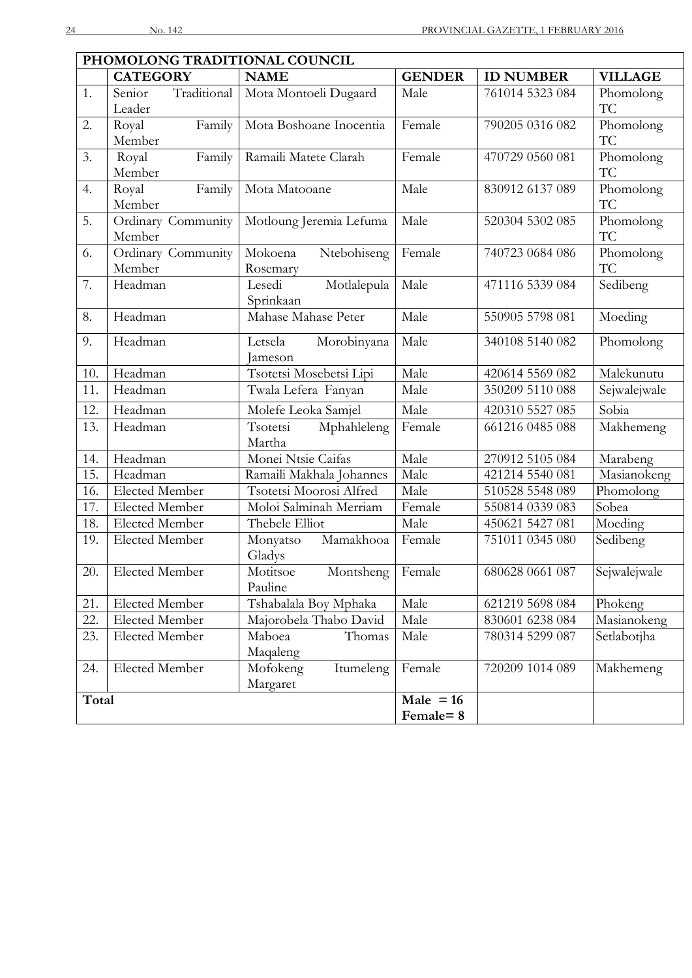|                  | PHOMOLONG TRADITIONAL COUNCIL |                                |               |                  |                |  |  |
|------------------|-------------------------------|--------------------------------|---------------|------------------|----------------|--|--|
|                  | <b>CATEGORY</b>               | <b>NAME</b>                    | <b>GENDER</b> | <b>ID NUMBER</b> | <b>VILLAGE</b> |  |  |
| 1.               | Traditional<br>Senior         | Mota Montoeli Dugaard          | Male          | 761014 5323 084  | Phomolong      |  |  |
|                  | Leader                        |                                |               |                  | TC             |  |  |
| 2.               | Family<br>Royal               | Mota Boshoane Inocentia        | Female        | 790205 0316 082  | Phomolong      |  |  |
|                  | Member                        |                                |               |                  | <b>TC</b>      |  |  |
| 3.               | Family<br>Royal               | Ramaili Matete Clarah          | Female        | 470729 0560 081  | Phomolong      |  |  |
|                  | Member                        |                                |               |                  | <b>TC</b>      |  |  |
| 4.               | Family<br>Royal               | Mota Matooane                  | Male          | 830912 6137 089  | Phomolong      |  |  |
|                  | Member                        |                                |               |                  | <b>TC</b>      |  |  |
| $\overline{5}$ . | Ordinary Community            | Motloung Jeremia Lefuma        | Male          | 520304 5302 085  | Phomolong      |  |  |
|                  | Member                        |                                |               |                  | TC             |  |  |
| 6.               | Ordinary Community            | Mokoena<br>Ntebohiseng         | Female        | 740723 0684 086  | Phomolong      |  |  |
|                  | Member                        | Rosemary                       |               |                  | TC             |  |  |
| 7.               | Headman                       | Motlalepula<br>Lesedi          | Male          | 471116 5339 084  | Sedibeng       |  |  |
|                  |                               | Sprinkaan                      |               |                  |                |  |  |
| 8.               | Headman                       | Mahase Mahase Peter            | Male          | 550905 5798 081  | Moeding        |  |  |
| 9.               | Headman                       | Letsela<br>Morobinyana         | Male          | 340108 5140 082  | Phomolong      |  |  |
|                  |                               | Jameson                        |               |                  |                |  |  |
| 10.              | Headman                       | Tsotetsi Mosebetsi Lipi        | Male          | 420614 5569 082  | Malekunutu     |  |  |
| 11.              | Headman                       | Twala Lefera Fanyan            | Male          | 350209 5110 088  | Sejwalejwale   |  |  |
| 12.              | Headman                       | Molefe Leoka Samjel            | Male          | 420310 5527 085  | Sobia          |  |  |
| 13.              | Headman                       | Tsotetsi<br>Mphahleleng        | Female        | 661216 0485 088  | Makhemeng      |  |  |
|                  |                               | Martha                         |               |                  |                |  |  |
| 14.              | Headman                       | Monei Ntsie Caifas             | Male          | 270912 5105 084  | Marabeng       |  |  |
| 15.              | Headman                       | Ramaili Makhala Johannes       | Male          | 421214 5540 081  | Masianokeng    |  |  |
| 16.              | <b>Elected Member</b>         | Tsotetsi Moorosi Alfred        | Male          | 510528 5548 089  | Phomolong      |  |  |
| 17.              | <b>Elected Member</b>         | Moloi Salminah Merriam         | Female        | 550814 0339 083  | Sobea          |  |  |
| 18.              | Elected Member                | Thebele Elliot                 | Male          | 450621 5427 081  | Moeding        |  |  |
| 19.              | <b>Elected Member</b>         | Mamakhooa<br>Monyatso          | Female        | 751011 0345 080  | Sedibeng       |  |  |
|                  |                               | Gladys                         |               |                  |                |  |  |
| 20.              | Elected Member                | Montsheng   Female<br>Motitsoe |               | 680628 0661 087  | Sejwalejwale   |  |  |
|                  |                               | Pauline                        |               |                  |                |  |  |
| 21.              | <b>Elected Member</b>         | Tshabalala Boy Mphaka          | Male          | 621219 5698 084  | Phokeng        |  |  |
| 22.              | <b>Elected Member</b>         | Majorobela Thabo David         | Male          | 830601 6238 084  | Masianokeng    |  |  |
| 23.              | <b>Elected Member</b>         | Maboea<br>Thomas               | Male          | 780314 5299 087  | Setlabotjha    |  |  |
|                  |                               | Maqaleng                       |               |                  |                |  |  |
| 24.              | <b>Elected Member</b>         | Mofokeng<br>Itumeleng          | Female        | 720209 1014 089  | Makhemeng      |  |  |
|                  |                               | Margaret                       | $Male = 16$   |                  |                |  |  |
|                  | Total                         |                                |               |                  |                |  |  |
|                  |                               |                                | Female=8      |                  |                |  |  |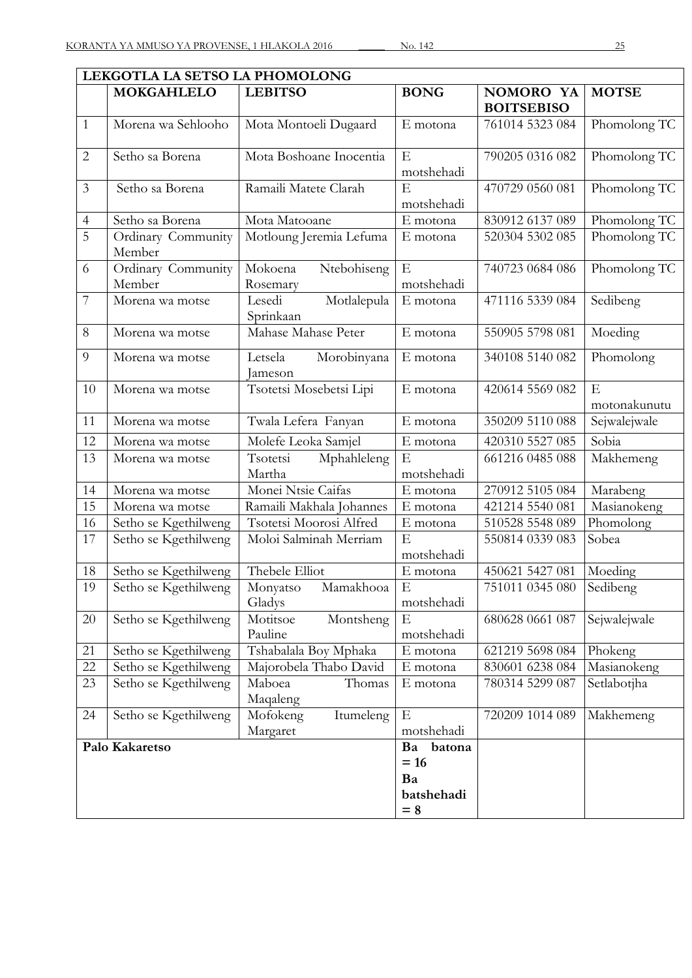|                | LEKGOTLA LA SETSO LA PHOMOLONG |                                                     |                           |                                |                   |  |  |
|----------------|--------------------------------|-----------------------------------------------------|---------------------------|--------------------------------|-------------------|--|--|
|                | <b>MOKGAHLELO</b>              | <b>LEBITSO</b>                                      | <b>BONG</b>               | NOMORO YA<br><b>BOITSEBISO</b> | <b>MOTSE</b>      |  |  |
| $\mathbf{1}$   | Morena wa Sehlooho             | Mota Montoeli Dugaard                               | E motona                  | 761014 5323 084                | Phomolong TC      |  |  |
| $\overline{2}$ | Setho sa Borena                | Mota Boshoane Inocentia                             | ${\bf E}$                 | 790205 0316 082                | Phomolong TC      |  |  |
|                |                                |                                                     | motshehadi                |                                |                   |  |  |
| $\overline{3}$ | Setho sa Borena                | Ramaili Matete Clarah                               | E<br>motshehadi           | 470729 0560 081                | Phomolong TC      |  |  |
| 4              | Setho sa Borena                | Mota Matooane                                       | E motona                  | 830912 6137 089                | Phomolong TC      |  |  |
| $\overline{5}$ | Ordinary Community<br>Member   | Motloung Jeremia Lefuma                             | E motona                  | 520304 5302 085                | Phomolong TC      |  |  |
| 6              | Ordinary Community<br>Member   | Ntebohiseng<br>Mokoena<br>Rosemary                  | $\mathbf E$<br>motshehadi | 740723 0684 086                | Phomolong TC      |  |  |
| 7              | Morena wa motse                | Lesedi<br>Motlalepula<br>Sprinkaan                  | E motona                  | 471116 5339 084                | Sedibeng          |  |  |
| 8              | Morena wa motse                | Mahase Mahase Peter                                 | E motona                  | 550905 5798 081                | Moeding           |  |  |
| 9              | Morena wa motse                | Letsela<br>Morobinyana<br>Jameson                   | E motona                  | 340108 5140 082                | Phomolong         |  |  |
| 10             | Morena wa motse                | Tsotetsi Mosebetsi Lipi                             | E motona                  | 420614 5569 082                | E<br>motonakunutu |  |  |
| 11             | Morena wa motse                | Twala Lefera Fanyan                                 | E motona                  | 350209 5110 088                | Sejwalejwale      |  |  |
| 12             | Morena wa motse                | Molefe Leoka Samjel                                 | E motona                  | 420310 5527 085                | Sobia             |  |  |
| 13             | Morena wa motse                | Tsotetsi<br>Mphahleleng<br>Martha                   | $\mathbf E$<br>motshehadi | 661216 0485 088                | Makhemeng         |  |  |
| 14             | Morena wa motse                | Monei Ntsie Caifas                                  | E motona                  | 270912 5105 084                | Marabeng          |  |  |
| 15             | Morena wa motse                | Ramaili Makhala Johannes                            | E motona                  | 421214 5540 081                | Masianokeng       |  |  |
| 16             | Setho se Kgethilweng           | Tsotetsi Moorosi Alfred                             | E motona                  | 510528 5548 089                | Phomolong         |  |  |
| 17             | Setho se Kgethilweng           | Moloi Salminah Merriam                              | E<br>motshehadi           | 550814 0339 083                | Sobea             |  |  |
| 18             | Setho se Kgethilweng           | Thebele Elliot                                      | E motona                  | 450621 5427 081                | Moeding           |  |  |
| 19             | Setho se Kgethilweng           | Mamakhooa<br>Monyatso<br>Gladys                     | E<br>motshehadi           | 751011 0345 080                | Sedibeng          |  |  |
| 20             | Setho se Kgethilweng           | Montsheng<br>Motitsoe<br>Pauline                    | $\mathbf E$<br>motshehadi | 680628 0661 087                | Sejwalejwale      |  |  |
| 21             | Setho se Kgethilweng           | Tshabalala Boy Mphaka                               | E motona                  | 621219 5698 084                | Phokeng           |  |  |
| 22             | Setho se Kgethilweng           | Majorobela Thabo David                              | E motona                  | 830601 6238 084                | Masianokeng       |  |  |
| 23             | Setho se Kgethilweng           | Maboea<br>Thomas<br>Maqaleng                        | E motona                  | 780314 5299 087                | Setlabotjha       |  |  |
| 24             | Setho se Kgethilweng           | Mofokeng<br>Itumeleng<br>Margaret                   | $\mathbf E$<br>motshehadi | 720209 1014 089                | Makhemeng         |  |  |
| Palo Kakaretso |                                | Ba<br>batona<br>$= 16$<br>Ba<br>batshehadi<br>$= 8$ |                           |                                |                   |  |  |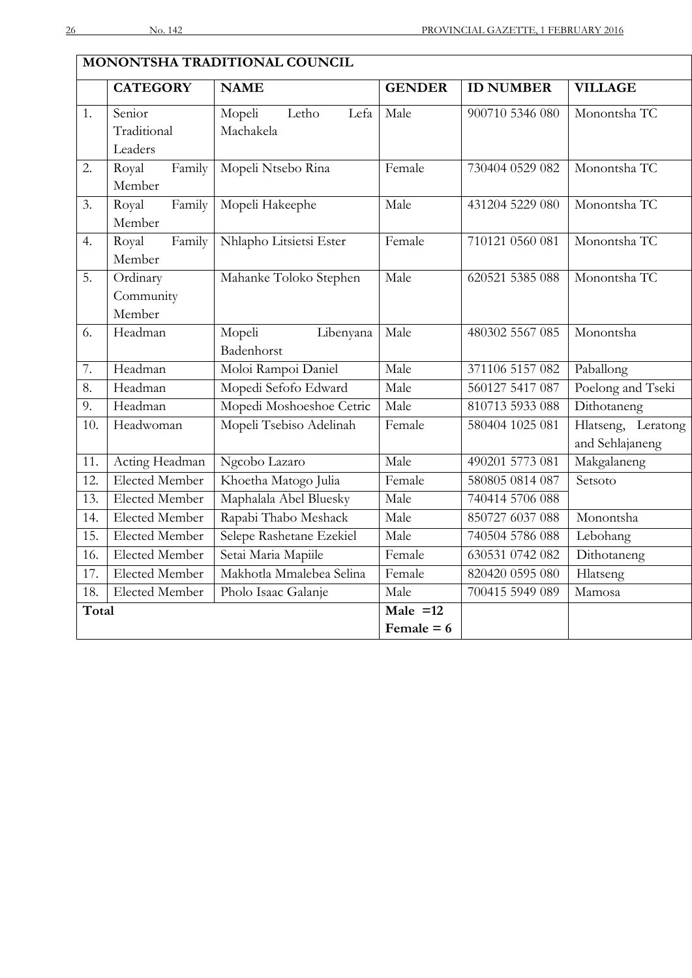|       | <b>CATEGORY</b>       | <b>NAME</b>              | <b>GENDER</b> | <b>ID NUMBER</b> | <b>VILLAGE</b>     |
|-------|-----------------------|--------------------------|---------------|------------------|--------------------|
| 1.    | Senior                | Mopeli<br>Letho<br>Lefa  | Male          | 900710 5346 080  | Monontsha TC       |
|       | Traditional           | Machakela                |               |                  |                    |
|       | Leaders               |                          |               |                  |                    |
| 2.    | Royal<br>Family       | Mopeli Ntsebo Rina       | Female        | 730404 0529 082  | Monontsha TC       |
|       | Member                |                          |               |                  |                    |
| 3.    | Family<br>Royal       | Mopeli Hakeephe          | Male          | 431204 5229 080  | Monontsha TC       |
|       | Member                |                          |               |                  |                    |
| 4.    | Royal<br>Family       | Nhlapho Litsietsi Ester  | Female        | 710121 0560 081  | Monontsha TC       |
|       | Member                |                          |               |                  |                    |
| 5.    | Ordinary              | Mahanke Toloko Stephen   | Male          | 620521 5385 088  | Monontsha TC       |
|       | Community             |                          |               |                  |                    |
|       | Member                |                          |               |                  |                    |
| 6.    | Headman               | Mopeli<br>Libenyana      | Male          | 480302 5567 085  | Monontsha          |
|       |                       | Badenhorst               |               |                  |                    |
| 7.    | Headman               | Moloi Rampoi Daniel      | Male          | 371106 5157 082  | Paballong          |
| 8.    | Headman               | Mopedi Sefofo Edward     | Male          | 560127 5417 087  | Poelong and Tseki  |
| 9.    | Headman               | Mopedi Moshoeshoe Cetric | Male          | 810713 5933 088  | Dithotaneng        |
| 10.   | Headwoman             | Mopeli Tsebiso Adelinah  | Female        | 580404 1025 081  | Hlatseng, Leratong |
|       |                       |                          |               |                  | and Sehlajaneng    |
| 11.   | Acting Headman        | Ngcobo Lazaro            | Male          | 490201 5773 081  | Makgalaneng        |
| 12.   | <b>Elected Member</b> | Khoetha Matogo Julia     | Female        | 580805 0814 087  | Setsoto            |
| 13.   | Elected Member        | Maphalala Abel Bluesky   | Male          | 740414 5706 088  |                    |
| 14.   | <b>Elected Member</b> | Rapabi Thabo Meshack     | Male          | 850727 6037 088  | Monontsha          |
| 15.   | <b>Elected Member</b> | Selepe Rashetane Ezekiel | Male          | 740504 5786 088  | Lebohang           |
| 16.   | Elected Member        | Setai Maria Mapiile      | Female        | 630531 0742 082  | Dithotaneng        |
| 17.   | <b>Elected Member</b> | Makhotla Mmalebea Selina | Female        | 820420 0595 080  | Hlatseng           |
| 18.   | <b>Elected Member</b> | Pholo Isaac Galanje      | Male          | 700415 5949 089  | Mamosa             |
| Total |                       |                          | Male $=12$    |                  |                    |
|       |                       |                          | Female $= 6$  |                  |                    |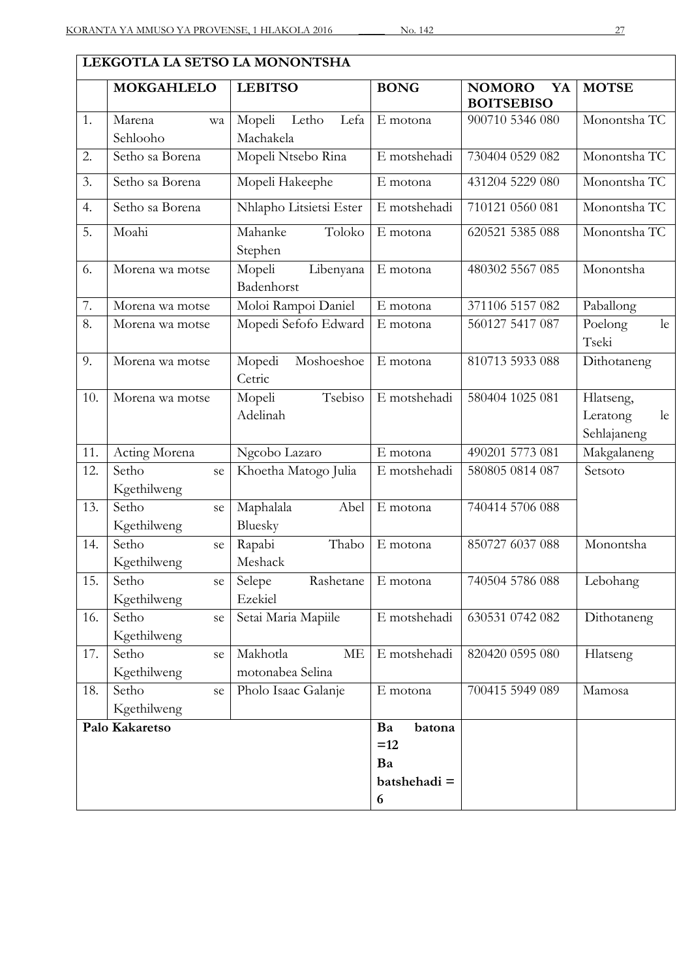|     | LEKGOTLA LA SETSO LA MONONTSHA |                                           |                             |                                          |                                            |  |  |
|-----|--------------------------------|-------------------------------------------|-----------------------------|------------------------------------------|--------------------------------------------|--|--|
|     | <b>MOKGAHLELO</b>              | <b>LEBITSO</b>                            | <b>BONG</b>                 | <b>NOMORO</b><br>YA<br><b>BOITSEBISO</b> | <b>MOTSE</b>                               |  |  |
| 1.  | Marena<br>wa<br>Sehlooho       | Mopeli<br>Letho<br>Lefa<br>Machakela      | E motona                    | 900710 5346 080                          | Monontsha TC                               |  |  |
| 2.  | Setho sa Borena                | Mopeli Ntsebo Rina                        | E motshehadi                | 730404 0529 082                          | Monontsha TC                               |  |  |
| 3.  | Setho sa Borena                | Mopeli Hakeephe                           | E motona                    | 431204 5229 080                          | Monontsha TC                               |  |  |
| 4.  | Setho sa Borena                | Nhlapho Litsietsi Ester                   | E motshehadi                | 710121 0560 081                          | Monontsha TC                               |  |  |
| 5.  | Moahi                          | Mahanke<br>Toloko<br>Stephen              | E motona                    | 620521 5385 088                          | Monontsha TC                               |  |  |
| 6.  | Morena wa motse                | Mopeli<br>Libenyana<br>Badenhorst         | E motona                    | 480302 5567 085                          | Monontsha                                  |  |  |
| 7.  | Morena wa motse                | Moloi Rampoi Daniel                       | E motona                    | 371106 5157 082                          | Paballong                                  |  |  |
| 8.  | Morena wa motse                | Mopedi Sefofo Edward                      | E motona                    | 560127 5417 087                          | Poelong<br>le<br>Tseki                     |  |  |
| 9.  | Morena wa motse                | Mopedi<br>Moshoeshoe<br>Cetric            | E motona                    | 810713 5933 088                          | Dithotaneng                                |  |  |
| 10. | Morena wa motse                | Tsebiso<br>Mopeli<br>Adelinah             | E motshehadi                | 580404 1025 081                          | Hlatseng,<br>Leratong<br>le<br>Sehlajaneng |  |  |
| 11. | Acting Morena                  | Ngcobo Lazaro                             | E motona                    | 490201 5773 081                          | Makgalaneng                                |  |  |
| 12. | Setho<br>se<br>Kgethilweng     | Khoetha Matogo Julia                      | E motshehadi                | 580805 0814 087                          | Setsoto                                    |  |  |
| 13. | Setho<br>se<br>Kgethilweng     | Maphalala<br>Abel<br>Bluesky              | E motona                    | 740414 5706 088                          |                                            |  |  |
| 14. | Setho<br>se<br>Kgethilweng     | Rapabi<br>Thabo<br>Meshack                | E motona                    | 850727 6037 088                          | Monontsha                                  |  |  |
| 15. | Setho<br>se<br>Kgethilweng     | Selepe<br>Rashetane<br>Ezekiel            | E motona                    | 740504 5786 088                          | Lebohang                                   |  |  |
| 16. | Setho<br>se<br>Kgethilweng     | Setai Maria Mapiile                       | E motshehadi                | 630531 0742 082                          | Dithotaneng                                |  |  |
| 17. | Setho<br>se<br>Kgethilweng     | Makhotla<br><b>ME</b><br>motonabea Selina | E motshehadi                | 820420 0595 080                          | Hlatseng                                   |  |  |
| 18. | Setho<br>se<br>Kgethilweng     | Pholo Isaac Galanje                       | E motona                    | 700415 5949 089                          | Mamosa                                     |  |  |
|     | Palo Kakaretso                 |                                           | Ba<br>batona<br>$=12$<br>Ba |                                          |                                            |  |  |
|     |                                |                                           | batshehadi =                |                                          |                                            |  |  |
|     |                                |                                           | 6                           |                                          |                                            |  |  |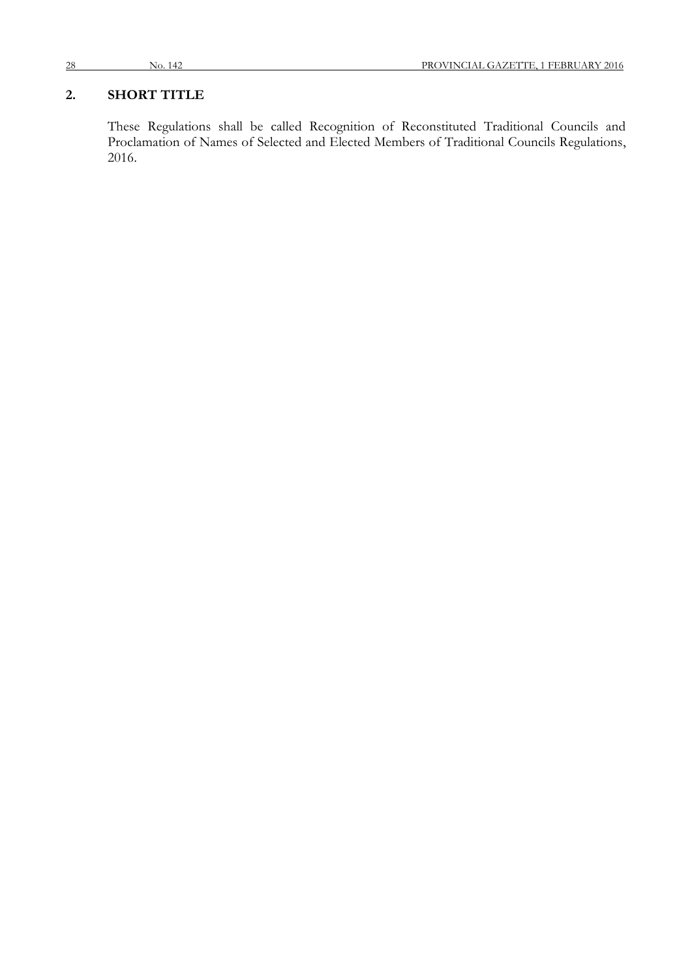## **2. SHORT TITLE**

These Regulations shall be called Recognition of Reconstituted Traditional Councils and Proclamation of Names of Selected and Elected Members of Traditional Councils Regulations, 2016.